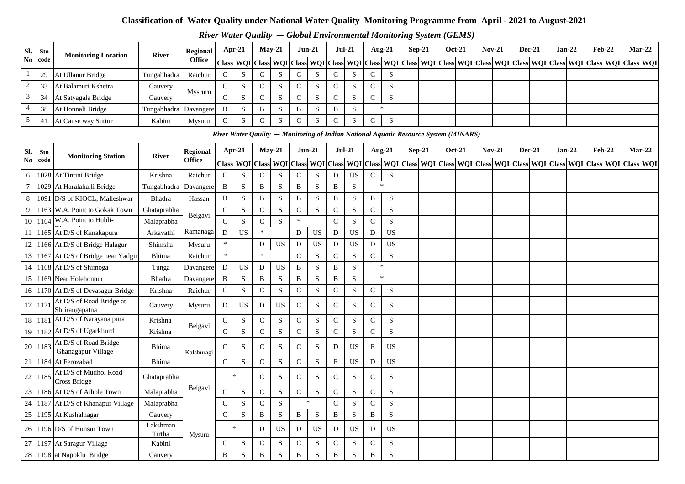#### **Classification of Water Quality under National Water Quality Monitoring Programme from April - 2021 to August-2021**

*River Water Quality* **—** *Global Environmental Monitoring System (GEMS)* 

| Sl.            | Stn       | <b>Monitoring Location</b>                  | <b>River</b>       | <b>Regional</b> | Apr-21       |             | $May-21$     |                                                                                                                                                                                                                               | $Jun-21$      |           | <b>Jul-21</b> |             | Aug-21         |           | $Sep-21$ |          | <b>Oct-21</b> |               | <b>Nov-21</b> | <b>Dec-21</b> | $Jan-22$ | <b>Feb-22</b> |                                                                                                                                                                                                                               | $Mar-22$  |  |
|----------------|-----------|---------------------------------------------|--------------------|-----------------|--------------|-------------|--------------|-------------------------------------------------------------------------------------------------------------------------------------------------------------------------------------------------------------------------------|---------------|-----------|---------------|-------------|----------------|-----------|----------|----------|---------------|---------------|---------------|---------------|----------|---------------|-------------------------------------------------------------------------------------------------------------------------------------------------------------------------------------------------------------------------------|-----------|--|
| $\bf No$       | code      |                                             |                    | <b>Office</b>   |              |             |              | Class   WQI   Class   WQI   Class   WQI   Class   WQI   Class   WQI   Class   WQI   Class   WQI   Class   WQI   Class   WQI   Class   WQI   Class   WQI   Class   WQI   Class   WQI   Class   WQI   Class   WQI   Class   WQI |               |           |               |             |                |           |          |          |               |               |               |               |          |               |                                                                                                                                                                                                                               | Class WQI |  |
| $\mathbf{1}$   | 29        | At Ullanur Bridge                           | Tungabhadra        | Raichur         | $\mathsf{C}$ | S           | $\mathbf C$  | S                                                                                                                                                                                                                             | $\mathbf C$   | S         | C             | S           | $\mathbf C$    | S         |          |          |               |               |               |               |          |               |                                                                                                                                                                                                                               |           |  |
| $\overline{c}$ | 33        | At Balamuri Kshetra                         | Cauvery            | Mysruru         | $\mathsf{C}$ | S           | $\mathsf{C}$ | S                                                                                                                                                                                                                             | $\mathsf{C}$  | S         | $\mathsf{C}$  | S           | $\mathbf C$    | S         |          |          |               |               |               |               |          |               |                                                                                                                                                                                                                               |           |  |
| 3              | 34        | At Satyagala Bridge                         | Cauvery            |                 | ${\bf C}$    | ${\bf S}$   | $\mathbf C$  | ${\bf S}$                                                                                                                                                                                                                     | $\mathbf C$   | S         | $\mathbf C$   | ${\bf S}$   | $\mathsf{C}$   | ${\bf S}$ |          |          |               |               |               |               |          |               |                                                                                                                                                                                                                               |           |  |
| $\overline{4}$ | 38        | At Honnali Bridge                           | Tungabhadra        | Davangere       | $\, {\bf B}$ | $\mathbf S$ | $\, {\bf B}$ | ${\bf S}$                                                                                                                                                                                                                     | $\, {\bf B}$  | ${\bf S}$ | $\, {\bf B}$  | $\mathbf S$ | $\ast$         |           |          |          |               |               |               |               |          |               |                                                                                                                                                                                                                               |           |  |
| 5              | 41        | At Cause way Suttur                         | Kabini             | Mysuru          | $\mathsf{C}$ | $\mathbf S$ | ${\bf C}$    | ${\bf S}$                                                                                                                                                                                                                     | $\mathsf{C}$  | ${\bf S}$ | $\mathbf C$   | $\mathbf S$ | $\mathsf{C}$   | ${\bf S}$ |          |          |               |               |               |               |          |               |                                                                                                                                                                                                                               |           |  |
|                |           |                                             |                    |                 |              |             |              | River Water Qaulity – Monitoring of Indian National Aquatic Resource System (MINARS)                                                                                                                                          |               |           |               |             |                |           |          |          |               |               |               |               |          |               |                                                                                                                                                                                                                               |           |  |
| Sl.            | Stn       |                                             |                    | <b>Regional</b> |              | Apr-21      | $May-21$     |                                                                                                                                                                                                                               | $Jun-21$      |           | <b>Jul-21</b> |             | Aug- $21$      |           |          | $Sep-21$ |               | <b>Oct-21</b> | <b>Nov-21</b> | <b>Dec-21</b> | $Jan-22$ | <b>Feb-22</b> |                                                                                                                                                                                                                               | $Mar-22$  |  |
| No             | code      | <b>Monitoring Station</b>                   | River              | <b>Office</b>   |              |             |              |                                                                                                                                                                                                                               |               |           |               |             |                |           |          |          |               |               |               |               |          |               | Class   WQI   Class   WQI   Class   WQI   Class   WQI   Class   WQI   Class   WQI   Class   WQI   Class   WQI   Class   WQI   Class   WQI   Class   WQI   Class   WQI   Class   WQI   Class   WQI   Class   WQI   Class   WQI |           |  |
| 6              |           | 1028 At Tintini Bridge                      | Krishna            | Raichur         | $\mathbf C$  | $\mathbf S$ | ${\bf C}$    | ${\bf S}$                                                                                                                                                                                                                     | $\mathbf C$   | ${\bf S}$ | D             | <b>US</b>   | ${\bf C}$      | S         |          |          |               |               |               |               |          |               |                                                                                                                                                                                                                               |           |  |
| $\overline{7}$ | 1029      | At Haralahalli Bridge                       | Tungabhadra        | Davangere       | $\, {\bf B}$ | $\mathbf S$ | B            | ${\bf S}$                                                                                                                                                                                                                     | B             | S         | $\, {\bf B}$  | $\mathbf S$ | $\ast$         |           |          |          |               |               |               |               |          |               |                                                                                                                                                                                                                               |           |  |
| 8              | 1091      | D/S of KIOCL, Malleshwar                    | Bhadra             | Hassan          | B            | $\mathbf S$ | B            | ${\bf S}$                                                                                                                                                                                                                     | $\bf{B}$      | S         | $\, {\bf B}$  | ${\bf S}$   | B              | ${\bf S}$ |          |          |               |               |               |               |          |               |                                                                                                                                                                                                                               |           |  |
| 9              | 1163      | W.A. Point to Gokak Town                    | Ghataprabha        |                 | $\mathbf C$  | $\mathbf S$ | $\mathbf C$  | ${\bf S}$                                                                                                                                                                                                                     | $\mathbf C$   | S         | $\mathbf C$   | $\mathbf S$ | ${\bf C}$      | ${\bf S}$ |          |          |               |               |               |               |          |               |                                                                                                                                                                                                                               |           |  |
| 10             | 1164      | W.A. Point to Hubli-                        | Malaprabha         | Belgavi         | ${\bf C}$    | $\mathbf S$ | ${\bf C}$    | ${\bf S}$                                                                                                                                                                                                                     | $\ast$        |           | ${\bf C}$     | ${\bf S}$   | $\mathbf C$    | S         |          |          |               |               |               |               |          |               |                                                                                                                                                                                                                               |           |  |
| 11             |           | 1165 At D/S of Kanakapura                   | Arkavathi          | Ramanaga        | $\mathbf D$  | <b>US</b>   | $\ast$       |                                                                                                                                                                                                                               | D             | US        | $\mathbf D$   | US          | D              | <b>US</b> |          |          |               |               |               |               |          |               |                                                                                                                                                                                                                               |           |  |
| 12             |           | 1166 At D/S of Bridge Halagur               | Shimsha            | Mysuru          | $\ast$       |             | D            | <b>US</b>                                                                                                                                                                                                                     | D             | US        | D             | <b>US</b>   | D              | <b>US</b> |          |          |               |               |               |               |          |               |                                                                                                                                                                                                                               |           |  |
| 13             |           | 1167 At D/S of Bridge near Yadgin           | <b>Bhima</b>       | Raichur         | $\ast$       |             | $\ast$       |                                                                                                                                                                                                                               | $\mathbf C$   | S         | $\mathbf C$   | S           | $\overline{C}$ | S         |          |          |               |               |               |               |          |               |                                                                                                                                                                                                                               |           |  |
| 14             |           | 1168 At D/S of Shimoga                      | Tunga              | Davangere       | D            | <b>US</b>   | D            | US                                                                                                                                                                                                                            | B             | S         | B             | $\mathbf S$ | $\ast$         |           |          |          |               |               |               |               |          |               |                                                                                                                                                                                                                               |           |  |
|                | 15 1169   | Near Holehonnur                             | Bhadra             | Davangere       | B            | $\mathbf S$ | B            | S                                                                                                                                                                                                                             | $\, {\bf B}$  | S         | B             | ${\bf S}$   | $\ast$         |           |          |          |               |               |               |               |          |               |                                                                                                                                                                                                                               |           |  |
|                |           | 16 1170 At D/S of Devasagar Bridge          | Krishna            | Raichur         | ${\bf C}$    | $\mathbf S$ | ${\bf C}$    | ${\bf S}$                                                                                                                                                                                                                     | ${\bf C}$     | ${\bf S}$ | $\mathbf C$   | S           | $\mathbf C$    | S         |          |          |               |               |               |               |          |               |                                                                                                                                                                                                                               |           |  |
|                | 17 1171   | At D/S of Road Bridge at<br>Shrirangapatna  | Cauvery            | Mysuru          | D            | <b>US</b>   | D            | <b>US</b>                                                                                                                                                                                                                     | $\mathcal{C}$ | S         | $\mathsf{C}$  | S           | C              | S         |          |          |               |               |               |               |          |               |                                                                                                                                                                                                                               |           |  |
|                | 18   1181 | At D/S of Narayana pura                     | Krishna            | Belgavi         | $\mathbf C$  | ${\bf S}$   | $\mathbf C$  | ${\bf S}$                                                                                                                                                                                                                     | ${\bf C}$     | S         | $\mathbf C$   | $\mathbf S$ | $\mathsf C$    | ${\bf S}$ |          |          |               |               |               |               |          |               |                                                                                                                                                                                                                               |           |  |
|                |           | 19 1182 At D/S of Ugarkhurd                 | Krishna            |                 | ${\bf C}$    | $\mathbf S$ | $\mathsf C$  | $\mathbf S$                                                                                                                                                                                                                   | ${\bf C}$     | ${\bf S}$ | ${\bf C}$     | $\mathbf S$ | $\mathbf C$    | ${\bf S}$ |          |          |               |               |               |               |          |               |                                                                                                                                                                                                                               |           |  |
| 20             | 1183      | At D/S of Road Bridge<br>Ghanagapur Village | Bhima              | Kalaburagi      | ${\bf C}$    | S           | $\mathsf{C}$ | ${\bf S}$                                                                                                                                                                                                                     | ${\bf C}$     | S         | D             | US          | Ε              | US        |          |          |               |               |               |               |          |               |                                                                                                                                                                                                                               |           |  |
| 21             | 1184      | At Ferozabad                                | <b>Bhima</b>       |                 | $\mathsf{C}$ | ${\bf S}$   | $\mathsf{C}$ | ${\bf S}$                                                                                                                                                                                                                     | $\mathsf{C}$  | ${\bf S}$ | E             | <b>US</b>   | D              | <b>US</b> |          |          |               |               |               |               |          |               |                                                                                                                                                                                                                               |           |  |
| 22             | 1185      | At D/S of Mudhol Road<br>Cross Bridge       | Ghataprabha        |                 |              | $\ast$      | $\mathbf C$  | S                                                                                                                                                                                                                             | $\mathsf{C}$  | S         | $\mathbf C$   | $\mathbf S$ | $\mathsf C$    | S         |          |          |               |               |               |               |          |               |                                                                                                                                                                                                                               |           |  |
|                |           | 23   1186   At D/S of Aihole Town           | Malaprabha         | Belgavi         | $\mathbf C$  | ${\bf S}$   | $\mathsf{C}$ | ${\bf S}$                                                                                                                                                                                                                     | $\mathbf C$   | S         | $\mathsf{C}$  | $\mathbf S$ | $\mathsf{C}$   | S         |          |          |               |               |               |               |          |               |                                                                                                                                                                                                                               |           |  |
| 24             |           | 1187 At D/S of Khanapur Village             | Malaprabha         |                 | $\mathbf C$  | $\mathbf S$ | $\mathbf C$  | ${\bf S}$                                                                                                                                                                                                                     |               | $\ast$    | $\mathbf C$   | ${\bf S}$   | $\mathbf C$    | ${\bf S}$ |          |          |               |               |               |               |          |               |                                                                                                                                                                                                                               |           |  |
|                |           | 25 1195 At Kushalnagar                      | Cauvery            |                 | $\mathbf C$  | $\mathbf S$ | B            | ${\bf S}$                                                                                                                                                                                                                     | B             | S         | $\, {\bf B}$  | ${\bf S}$   | $\, {\bf B}$   | ${\bf S}$ |          |          |               |               |               |               |          |               |                                                                                                                                                                                                                               |           |  |
|                |           | 26 1196 D/S of Hunsur Town                  | Lakshman<br>Tirtha | Mysuru          |              | $\ast$      | D            | <b>US</b>                                                                                                                                                                                                                     | D             | US        | D             | US          | D              | US        |          |          |               |               |               |               |          |               |                                                                                                                                                                                                                               |           |  |
|                |           | 27   1197 At Saragur Village                | Kabini             |                 | $\mathsf{C}$ | S           | ${\bf C}$    | ${\bf S}$                                                                                                                                                                                                                     | ${\bf C}$     | ${\bf S}$ | $\mathsf{C}$  | ${\bf S}$   | $\mathbf C$    | ${\bf S}$ |          |          |               |               |               |               |          |               |                                                                                                                                                                                                                               |           |  |
|                |           | 28 1198 at Napoklu Bridge                   | Cauvery            |                 | B            | ${\bf S}$   | B            | $\,$ S                                                                                                                                                                                                                        | $\, {\bf B}$  | ${\bf S}$ | $\, {\bf B}$  | ${\bf S}$   | B              | ${\bf S}$ |          |          |               |               |               |               |          |               |                                                                                                                                                                                                                               |           |  |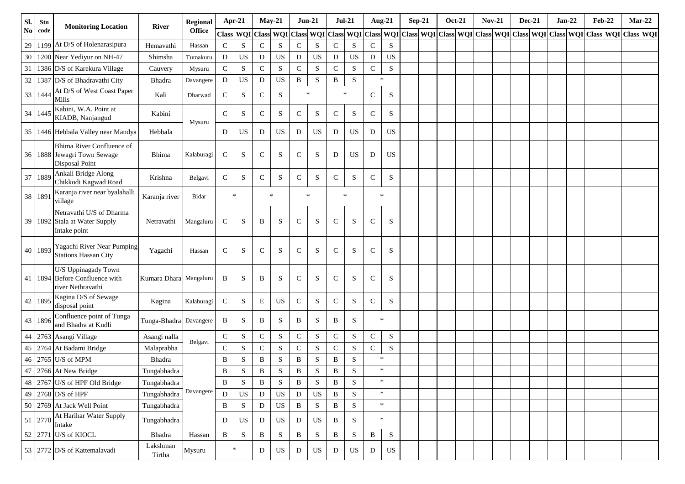| SI.      | Stn     | <b>Monitoring Location</b>                                                     | <b>River</b>           | Regional      |              | Apr-21      | $May-21$     |             | $Jun-21$     |             | $Jul-21$            |           |              | <b>Aug-21</b> | $Sep-21$ | <b>Oct-21</b> | <b>Nov-21</b>                                                                     | <b>Dec-21</b> | $Jan-22$ | <b>Feb-22</b>       |  | $Mar-22$ |
|----------|---------|--------------------------------------------------------------------------------|------------------------|---------------|--------------|-------------|--------------|-------------|--------------|-------------|---------------------|-----------|--------------|---------------|----------|---------------|-----------------------------------------------------------------------------------|---------------|----------|---------------------|--|----------|
| $\bf No$ | code    |                                                                                |                        | <b>Office</b> | Class WQI    |             | <b>Class</b> | <b>WQI</b>  |              |             | Class WQI Class WQI |           |              |               |          |               | Class   WQI   Class   WQI   Class   WQI   Class   WQI   Class   WQI   Class   WQI |               |          | Class WQI Class WQI |  |          |
| 29       | 1199    | At D/S of Holenarasipura                                                       | Hemavathi              | Hassan        | $\mathbf C$  | S           | ${\bf C}$    | S           | $\mathsf{C}$ | S           | $\mathsf{C}$        | S         | $\mathbf C$  | S             |          |               |                                                                                   |               |          |                     |  |          |
| $30\,$   | 1200    | Near Yediyur on NH-47                                                          | Shimsha                | Tumakuru      | D            | $_{\rm US}$ | D            | US          | ${\bf D}$    | <b>US</b>   | D                   | US        | ${\bf D}$    | <b>US</b>     |          |               |                                                                                   |               |          |                     |  |          |
| 31       |         | 1386 D/S of Karekura Village                                                   | Cauvery                | Mysuru        | ${\bf C}$    | ${\bf S}$   | $\mathbf C$  | ${\bf S}$   | ${\bf C}$    | S           | $\mathbf C$         | ${\bf S}$ | $\mathbf C$  | ${\bf S}$     |          |               |                                                                                   |               |          |                     |  |          |
| 32       |         | 1387 D/S of Bhadravathi City                                                   | Bhadra                 | Davangere     | D            | US          | D            | US          | $\, {\bf B}$ | ${\bf S}$   | $\, {\bf B}$        | S         |              | $\star$       |          |               |                                                                                   |               |          |                     |  |          |
| 33       | 1444    | At D/S of West Coast Paper<br>Mills                                            | Kali                   | Dharwad       | $\mathsf{C}$ | S           | $\mathsf{C}$ | $\mathbf S$ | $\ast$       |             |                     | $\ast$    | $\mathsf{C}$ | S             |          |               |                                                                                   |               |          |                     |  |          |
| 34       | 1445    | Kabini, W.A. Point at<br>KIADB, Nanjangud                                      | Kabini                 | Mysuru        | $\mathbf C$  | S           | $\mathsf{C}$ | ${\bf S}$   | $\mathsf{C}$ | S           | $\mathsf{C}$        | S         | $\mathsf{C}$ | S             |          |               |                                                                                   |               |          |                     |  |          |
| 35       |         | 1446 Hebbala Valley near Mandya                                                | Hebbala                |               | D            | $_{\rm US}$ | D            | US          | D            | <b>US</b>   | D                   | US        | D            | US            |          |               |                                                                                   |               |          |                     |  |          |
| 36       |         | Bhima River Confluence of<br>1888 Jewagri Town Sewage<br><b>Disposal Point</b> | Bhima                  | Kalaburagi    | $\mathsf{C}$ | S           | $\mathsf{C}$ | ${\bf S}$   | $\mathsf{C}$ | S           | D                   | <b>US</b> | D            | US            |          |               |                                                                                   |               |          |                     |  |          |
| 37       | 1889    | Ankali Bridge Along<br>Chikkodi Kagwad Road                                    | Krishna                | Belgavi       | $\mathbf C$  | S           | $\mathsf{C}$ | S           | $\mathsf{C}$ | S           | $\mathbf C$         | S         | $\mathsf{C}$ | ${\bf S}$     |          |               |                                                                                   |               |          |                     |  |          |
|          | 38 1891 | Karanja river near byalahalli<br>village                                       | Karanja river          | Bidar         |              | $\ast$      |              | $\ast$      | $\ast$       |             | $\ast$              |           |              | $\star$       |          |               |                                                                                   |               |          |                     |  |          |
| 39       |         | Netravathi U/S of Dharma<br>1892 Stala at Water Supply<br>Intake point         | Netravathi             | Mangaluru     | $\mathsf{C}$ | S           | B            | S           | $\mathsf{C}$ | S           | $\mathsf{C}$        | S         | $\mathsf{C}$ | S             |          |               |                                                                                   |               |          |                     |  |          |
| 40       | 1893    | Yagachi River Near Pumping<br><b>Stations Hassan City</b>                      | Yagachi                | Hassan        | $\mathsf{C}$ | S           | $\mathsf{C}$ | S           | $\mathsf{C}$ | S           | $\mathcal{C}$       | S         | C            | S             |          |               |                                                                                   |               |          |                     |  |          |
| 41       |         | U/S Uppinagady Town<br>1894 Before Confluence with<br>river Nethravathi        | Kumara Dhara Mangaluru |               | B            | S           | B            | S           | $\mathsf{C}$ | S           | $\mathsf{C}$        | S         | $\mathsf C$  | S             |          |               |                                                                                   |               |          |                     |  |          |
| 42       | 1895    | Kagina D/S of Sewage<br>disposal point                                         | Kagina                 | Kalaburagi    | $\mathbf C$  | S           | E            | US          | $\mathsf{C}$ | S           | $\mathsf{C}$        | S         | $\mathsf{C}$ | S             |          |               |                                                                                   |               |          |                     |  |          |
| 43       | 1896    | Confluence point of Tunga<br>and Bhadra at Kudli                               | Tunga-Bhadra Davangere |               | B            | S           | B            | S           | B            | S           | B                   | S         |              | $\star$       |          |               |                                                                                   |               |          |                     |  |          |
| 44       |         | 2763 Asangi Village                                                            | Asangi nalla           | Belgavi       | $\mathsf C$  | ${\bf S}$   | $\mathsf C$  | ${\bf S}$   | ${\bf C}$    | S           | $\mathbf C$         | ${\bf S}$ | $\mathsf C$  | ${\bf S}$     |          |               |                                                                                   |               |          |                     |  |          |
|          |         | 45   2764   At Badami Bridge                                                   | Malaprabha             |               | $\mathbf C$  | S           | ${\bf C}$    | ${\bf S}$   | ${\bf C}$    | ${\bf S}$   | $\mathbf C$         | S         | $\mathbf C$  | ${\bf S}$     |          |               |                                                                                   |               |          |                     |  |          |
| 46       |         | 2765 U/S of MPM                                                                | Bhadra                 |               | B            | S           | B            | ${\bf S}$   | B            | S           | B                   | S         |              | $\ast$        |          |               |                                                                                   |               |          |                     |  |          |
| 47       |         | 2766 At New Bridge                                                             | Tungabhadra            |               | B            | S           | B            | $\mathbf S$ | $\, {\bf B}$ | S           | B                   | S         |              | $\ast$        |          |               |                                                                                   |               |          |                     |  |          |
|          |         | 48 2767 U/S of HPF Old Bridge                                                  | Tungabhadra            |               | $\, {\bf B}$ | ${\bf S}$   | $\, {\bf B}$ | ${\bf S}$   | $\, {\bf B}$ | ${\bf S}$   | B                   | S         |              | $\ast$        |          |               |                                                                                   |               |          |                     |  |          |
|          |         | 49 2768 D/S of HPF                                                             | Tungabhadra            | Davangere     | D            | $_{\rm US}$ | $\mathbf D$  | <b>US</b>   | ${\rm D}$    | $_{\rm US}$ | B                   | S         |              | $\ast$        |          |               |                                                                                   |               |          |                     |  |          |
|          |         | 50 2769 At Jack Well Point                                                     | Tungabhadra            |               | $\, {\bf B}$ | S           | ${\rm D}$    | $_{\rm US}$ | $\, {\bf B}$ | ${\bf S}$   | $\, {\bf B}$        | S         |              | $\ast$        |          |               |                                                                                   |               |          |                     |  |          |
|          | 51 2770 | At Harihar Water Supply<br>Intake                                              | Tungabhadra            |               | D            | $_{\rm US}$ | D            | $_{\rm US}$ | ${\bf D}$    | $_{\rm US}$ | $\, {\bf B}$        | S         |              | $\ast$        |          |               |                                                                                   |               |          |                     |  |          |
|          |         | 52 2771 U/S of KIOCL                                                           | Bhadra                 | Hassan        | $\, {\bf B}$ | ${\bf S}$   | $\, {\bf B}$ | ${\bf S}$   | $\, {\bf B}$ | ${\bf S}$   | B                   | ${\bf S}$ | B            | ${\bf S}$     |          |               |                                                                                   |               |          |                     |  |          |
|          |         | 53 2772 D/S of Kattemalavadi                                                   | Lakshman<br>Tirtha     | Mysuru        |              | $\ast$      | D            | US          | D            | US          | D                   | US        | ${\rm D}$    | US            |          |               |                                                                                   |               |          |                     |  |          |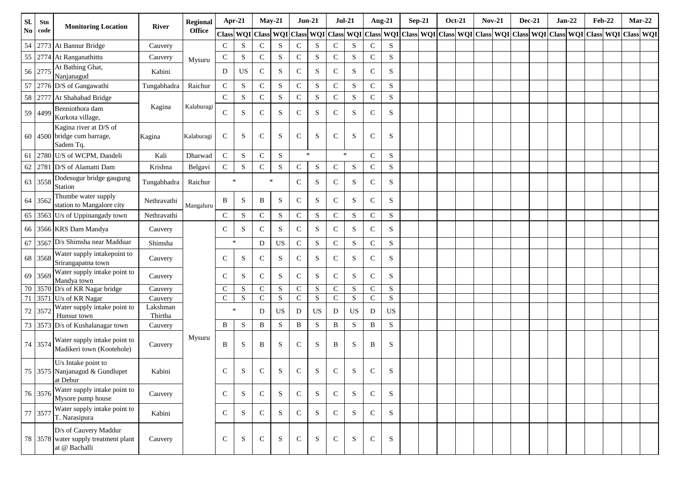| Sl.            | Stn     | <b>Monitoring Location</b>                                                     | <b>River</b>        | Regional      |              | Apr-21    | $May-21$    |           | $Jun-21$     |             | $Jul-21$     |           |              | Aug-21                                                                                                                                                                                                          | $Sep-21$ | <b>Oct-21</b> | <b>Nov-21</b> | <b>Dec-21</b> |  | $Jan-22$ | <b>Feb-22</b> | $Mar-22$ |  |
|----------------|---------|--------------------------------------------------------------------------------|---------------------|---------------|--------------|-----------|-------------|-----------|--------------|-------------|--------------|-----------|--------------|-----------------------------------------------------------------------------------------------------------------------------------------------------------------------------------------------------------------|----------|---------------|---------------|---------------|--|----------|---------------|----------|--|
| N <sub>0</sub> | code    |                                                                                |                     | <b>Office</b> |              |           |             |           |              |             |              |           |              | Class   WQI   Class   WQI   Class   WQI   Class   WQI   Class   WQI   Class   WQI   Class   WQI   Class   WQI   Class   WQI   Class   WQI   Class   WQI   Class   WQI   Class   WQI   Class   WQI   Class   WQI |          |               |               |               |  |          |               |          |  |
| 54             |         | 2773 At Bannur Bridge                                                          | Cauvery             |               | $\mathsf C$  | ${\bf S}$ | ${\bf C}$   | S         | ${\bf C}$    | S           | $\mathsf{C}$ | S         | ${\bf C}$    | S                                                                                                                                                                                                               |          |               |               |               |  |          |               |          |  |
| 55             | 2774    | At Ranganathittu                                                               | Cauvery             | Mysuru        | ${\bf C}$    | S         | $\mathbf C$ | ${\bf S}$ | $\mathsf{C}$ | S           | $\mathsf{C}$ | S         | $\mathbf C$  | ${\bf S}$                                                                                                                                                                                                       |          |               |               |               |  |          |               |          |  |
|                | 56 2775 | At Bathing Ghat,<br>Nanjanagud                                                 | Kabini              |               | D            | <b>US</b> | $\mathbf C$ | ${\bf S}$ | $\mathsf{C}$ | ${\bf S}$   | ${\bf C}$    | S         | $\mathbf C$  | S                                                                                                                                                                                                               |          |               |               |               |  |          |               |          |  |
| 57             |         | 2776 D/S of Gangawathi                                                         | Tungabhadra         | Raichur       | ${\bf C}$    | ${\bf S}$ | ${\bf C}$   | ${\bf S}$ | ${\bf C}$    | ${\bf S}$   | ${\bf C}$    | S         | $\mathbf C$  | ${\bf S}$                                                                                                                                                                                                       |          |               |               |               |  |          |               |          |  |
|                |         | 58 2777 At Shahabad Bridge                                                     |                     |               | $\mathsf C$  | ${\bf S}$ | $\mathbf C$ | ${\bf S}$ | $\mathbf C$  | $\mathbf S$ | ${\bf C}$    | S         | $\mathbf C$  | ${\bf S}$                                                                                                                                                                                                       |          |               |               |               |  |          |               |          |  |
|                | 59 4499 | Benniothora dam<br>Kurkota village,                                            | Kagina              | Kalaburagi    | $\mathsf{C}$ | ${\bf S}$ | $\mathbf C$ | S         | $\mathsf{C}$ | S           | ${\bf C}$    | S         | $\mathsf{C}$ | S                                                                                                                                                                                                               |          |               |               |               |  |          |               |          |  |
|                |         | Kagina river at D/S of<br>60 4500 bridge cum barrage,<br>Sadem Tq.             | Kagina              | Kalaburagi    | ${\bf C}$    | S         | $\mathbf C$ | S         | $\mathsf{C}$ | S           | $\mathsf{C}$ | S         | $\mathsf{C}$ | S                                                                                                                                                                                                               |          |               |               |               |  |          |               |          |  |
| 61             |         | 2780 U/S of WCPM, Dandeli                                                      | Kali                | Dharwad       | ${\bf C}$    | ${\bf S}$ | $\mathbf C$ | ${\bf S}$ |              | $\ast$      |              | $\ast$    | $\mathsf{C}$ | S                                                                                                                                                                                                               |          |               |               |               |  |          |               |          |  |
| 62             |         | 2781 D/S of Alamatti Dam                                                       | Krishna             | Belgavi       | ${\bf C}$    | ${\bf S}$ | $\mathbf C$ | S         | $\mathsf C$  | ${\bf S}$   | $\mathsf{C}$ | S         | $\mathsf{C}$ | ${\bf S}$                                                                                                                                                                                                       |          |               |               |               |  |          |               |          |  |
|                | 63 3558 | Dodesugur bridge gaugung<br>Station                                            | Tungabhadra         | Raichur       |              | $\ast$    |             | $\ast$    | $\mathsf{C}$ | S           | $\mathsf{C}$ | S         | $\mathsf{C}$ | S                                                                                                                                                                                                               |          |               |               |               |  |          |               |          |  |
|                | 64 3562 | Thumbe water supply<br>station to Mangalore city                               | Nethravathi         | Mangaluru     | B            | $\,$ S    | B           | S         | $\mathsf{C}$ | S           | ${\bf C}$    | S         | $\mathsf{C}$ | S                                                                                                                                                                                                               |          |               |               |               |  |          |               |          |  |
|                |         | 65 3563 U/s of Uppinangady town                                                | Nethravathi         |               | ${\bf C}$    | ${\bf S}$ | ${\bf C}$   | S         | $\mathbf C$  | ${\bf S}$   | $\mathsf{C}$ | S         | $\mathsf{C}$ | S                                                                                                                                                                                                               |          |               |               |               |  |          |               |          |  |
|                |         | 66 3566 KRS Dam Mandya                                                         | Cauvery             |               | $\mathbf C$  | S         | $\mathbf C$ | S         | $\mathsf C$  | ${\bf S}$   | $\mathsf{C}$ | S         | $\mathsf{C}$ | S                                                                                                                                                                                                               |          |               |               |               |  |          |               |          |  |
| 67             |         | 3567 D/s Shimsha near Madduar                                                  | Shimsha             |               |              | $\ast$    | D           | US        | ${\bf C}$    | ${\bf S}$   | $\mathsf{C}$ | S         | $\mathsf{C}$ | S                                                                                                                                                                                                               |          |               |               |               |  |          |               |          |  |
|                | 68 3568 | Water supply intakepoint to<br>Srirangapatna town                              | Cauvery             |               | $\mathsf{C}$ | S         | $\mathbf C$ | S         | $\mathsf C$  | S           | $\mathsf{C}$ | S         | $\mathsf{C}$ | S                                                                                                                                                                                                               |          |               |               |               |  |          |               |          |  |
|                | 69 3569 | Water supply intake point to<br>Mandya town                                    | Cauvery             |               | $\mathsf{C}$ | ${\bf S}$ | $\mathbf C$ | S         | $\mathbf C$  | ${\bf S}$   | $\mathbf C$  | S         | $\mathbf C$  | S                                                                                                                                                                                                               |          |               |               |               |  |          |               |          |  |
|                |         | 70 3570 D/s of KR Nagar bridge                                                 | Cauvery             |               | ${\bf C}$    | ${\bf S}$ | ${\bf C}$   | S         | $\mathbf C$  | ${\bf S}$   | $\mathbf C$  | S         | $\mathsf{C}$ | ${\bf S}$                                                                                                                                                                                                       |          |               |               |               |  |          |               |          |  |
| 71             |         | 3571 U/s of KR Nagar<br>Water supply intake point to                           | Cauvery<br>Lakshman |               | ${\bf C}$    | ${\bf S}$ | $\mathbf C$ | S         | $\mathsf C$  | ${\bf S}$   | ${\bf C}$    | ${\bf S}$ | $\mathbf C$  | ${\bf S}$                                                                                                                                                                                                       |          |               |               |               |  |          |               |          |  |
| 72             | 3572    | Hunsur town                                                                    | Thirtha             |               |              | $\star$   | D           | US        | D            | <b>US</b>   | D            | <b>US</b> | D            | US                                                                                                                                                                                                              |          |               |               |               |  |          |               |          |  |
| 73             |         | 3573 D/s of Kushalanagar town                                                  | Cauvery             |               | B            | ${\bf S}$ | B           | ${\bf S}$ | $\, {\bf B}$ | ${\bf S}$   | $\, {\bf B}$ | S         | $\, {\bf B}$ | ${\bf S}$                                                                                                                                                                                                       |          |               |               |               |  |          |               |          |  |
|                | 74 3574 | Water supply intake point to<br>Madikeri town (Kootehole)                      | Cauvery             | Mysuru        | B            | S         | B           | S         | $\mathsf{C}$ | S           | B            | S         | B            | S                                                                                                                                                                                                               |          |               |               |               |  |          |               |          |  |
|                |         | U/s Intake point to<br>75 3575 Nanjanagud & Gundlupet<br>at Debur              | Kabini              |               | ${\bf C}$    | ${\bf S}$ | $\mathbf C$ | ${\bf S}$ | $\mathbf C$  | $\mathbf S$ | $\mathbf C$  | ${\bf S}$ | ${\bf C}$    | S                                                                                                                                                                                                               |          |               |               |               |  |          |               |          |  |
|                | 76 3576 | Water supply intake point to<br>Mysore pump house                              | Cauvery             |               | $\mathsf{C}$ | S         | $\mathbf C$ | S         | $\mathsf{C}$ | S           | $\mathsf{C}$ | S         | $\mathsf{C}$ | S                                                                                                                                                                                                               |          |               |               |               |  |          |               |          |  |
|                | 77 3577 | Water supply intake point to<br>T. Narasipura                                  | Kabini              |               | $\mathsf{C}$ | S         | ${\bf C}$   | S         | $\mathsf{C}$ | S           | $\mathsf{C}$ | S         | $\mathsf{C}$ | S                                                                                                                                                                                                               |          |               |               |               |  |          |               |          |  |
|                |         | D/s of Cauvery Maddur<br>78 3578 water supply treatment plant<br>at @ Bachalli | Cauvery             |               | $\mathbf C$  | ${\bf S}$ | $\mathbf C$ | S         | $\mathsf C$  | S           | $\mathsf{C}$ | S         | $\mathsf{C}$ | S                                                                                                                                                                                                               |          |               |               |               |  |          |               |          |  |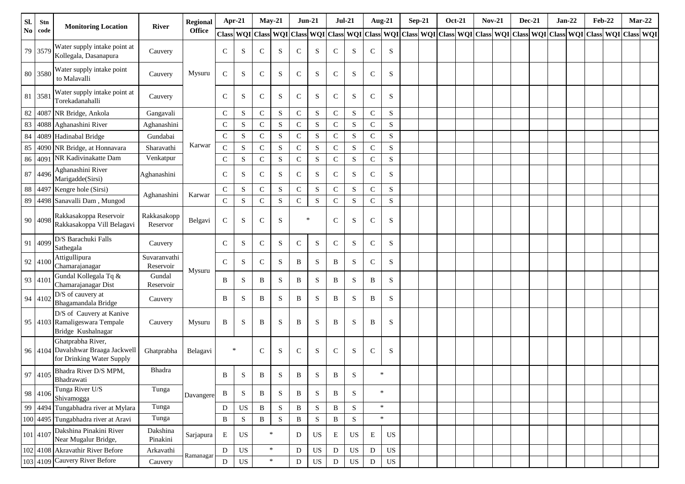| Sl.           | Stn      | <b>Monitoring Location</b>                                                      | <b>River</b>              | <b>Regional</b> | Apr-21           |             | $May-21$     |           | $Jun-21$     |             | $Jul-21$      |             | <b>Aug-21</b> |             | $Sep-21$                                                                                                                                                              | <b>Oct-21</b> | <b>Nov-21</b> | <b>Dec-21</b> | $Jan-22$ | <b>Feb-22</b> | $Mar-22$ |  |
|---------------|----------|---------------------------------------------------------------------------------|---------------------------|-----------------|------------------|-------------|--------------|-----------|--------------|-------------|---------------|-------------|---------------|-------------|-----------------------------------------------------------------------------------------------------------------------------------------------------------------------|---------------|---------------|---------------|----------|---------------|----------|--|
| $\mathbf{No}$ | code     |                                                                                 |                           | <b>Office</b>   | <b>Class WQI</b> |             |              |           |              |             |               |             |               |             | Class   WQI   Class   WQI   Class   WQI   Class   WQI   Class   WQI   Class   WQI   Class   WQI   Class   WQI   Class   WQI   Class   WQI   Class   WQI   Class   WQI |               |               |               |          |               |          |  |
|               | 79 3579  | Water supply intake point at<br>Kollegala, Dasanapura                           | Cauvery                   |                 | $\mathsf{C}$     | S           | $\mathsf{C}$ | S         | $\mathsf{C}$ | S           | $\mathsf{C}$  | S           | $\mathsf{C}$  | S           |                                                                                                                                                                       |               |               |               |          |               |          |  |
| 80            | 3580     | Water supply intake point<br>to Malavalli                                       | Cauvery                   | Mysuru          | $\mathsf{C}$     | S           | $\mathsf{C}$ | S         | $\mathbf C$  | S           | $\mathsf{C}$  | S           | $\mathsf{C}$  | S           |                                                                                                                                                                       |               |               |               |          |               |          |  |
| 81            | 3581     | Water supply intake point at<br>Torekadanahalli                                 | Cauvery                   |                 | $\mathsf{C}$     | S           | $\mathsf{C}$ | S         | $\mathbf C$  | S           | $\mathcal{C}$ | S           | $\mathsf{C}$  | S           |                                                                                                                                                                       |               |               |               |          |               |          |  |
| 82            | 4087     | NR Bridge, Ankola                                                               | Gangavali                 |                 | $\mathsf{C}$     | S           | ${\bf C}$    | S         | ${\bf C}$    | $\mathbf S$ | $\mathsf{C}$  | S           | ${\bf C}$     | S           |                                                                                                                                                                       |               |               |               |          |               |          |  |
| 83            | 4088     | Aghanashini River                                                               | Aghanashini               |                 | $\mathbf C$      | ${\bf S}$   | ${\bf C}$    | S         | ${\bf C}$    | ${\bf S}$   | $\mathbf C$   | ${\bf S}$   | $\mathbf C$   | ${\bf S}$   |                                                                                                                                                                       |               |               |               |          |               |          |  |
| 84            | 4089     | Hadinabal Bridge                                                                | Gundabai                  |                 | $\mathbf C$      | S           | ${\bf C}$    | S         | ${\bf C}$    | ${\bf S}$   | $\mathsf{C}$  | ${\bf S}$   | ${\bf C}$     | ${\bf S}$   |                                                                                                                                                                       |               |               |               |          |               |          |  |
| 85            | 4090     | NR Bridge, at Honnavara                                                         | Sharavathi                | Karwar          | $\mathsf{C}$     | ${\bf S}$   | ${\bf C}$    | ${\bf S}$ | $\mathsf C$  | ${\bf S}$   | $\mathbf C$   | ${\bf S}$   | ${\bf C}$     | ${\bf S}$   |                                                                                                                                                                       |               |               |               |          |               |          |  |
| 86            | 4091     | NR Kadivinakatte Dam                                                            | Venkatpur                 |                 | $\mathsf{C}$     | S           | ${\bf C}$    | S         | ${\bf C}$    | ${\bf S}$   | $\mathsf{C}$  | ${\bf S}$   | ${\bf C}$     | ${\bf S}$   |                                                                                                                                                                       |               |               |               |          |               |          |  |
| 87            | 4496     | Aghanashini River<br>Marigadde(Sirsi)                                           | Aghanashini               |                 | $\mathcal{C}$    | S           | $\mathsf{C}$ | S         | $\mathbf C$  | S           | $\mathcal{C}$ | S           | $\mathsf{C}$  | S           |                                                                                                                                                                       |               |               |               |          |               |          |  |
| 88            | 4497     | Kengre hole (Sirsi)                                                             | Aghanashini               | Karwar          | $\mathsf{C}$     | S           | $\mathsf{C}$ | S         | $\mathsf C$  | ${\bf S}$   | $\mathbf C$   | S           | $\mathsf{C}$  | ${\bf S}$   |                                                                                                                                                                       |               |               |               |          |               |          |  |
| 89            |          | 4498 Sanavalli Dam, Mungod                                                      |                           |                 | $\mathbf C$      | ${\bf S}$   | ${\bf C}$    | S         | $\mathsf C$  | ${\bf S}$   | $\mathbf C$   | ${\bf S}$   | ${\bf C}$     | ${\bf S}$   |                                                                                                                                                                       |               |               |               |          |               |          |  |
|               | 90 4098  | Rakkasakoppa Reservoir<br>Rakkasakoppa Vill Belagavi                            | Rakkasakopp<br>Reservor   | Belgavi         | $\mathsf{C}$     | S           | $\mathsf{C}$ | S         | $\ast$       |             | $\mathsf{C}$  | S           | $\mathsf{C}$  | S           |                                                                                                                                                                       |               |               |               |          |               |          |  |
| 91            | 4099     | D/S Barachuki Falls<br>Sathegala                                                | Cauvery                   |                 | $\mathsf{C}$     | S           | $\mathsf{C}$ | S         | $\mathbf C$  | ${\bf S}$   | $\mathsf{C}$  | S           | $\mathsf{C}$  | S           |                                                                                                                                                                       |               |               |               |          |               |          |  |
|               | 92 4100  | Attigullipura<br>Chamarajanagar                                                 | Suvaranvathi<br>Reservoir | Mysuru          | $\mathcal{C}$    | S           | $\mathsf{C}$ | S         | B            | S           | B             | S           | $\mathsf{C}$  | S           |                                                                                                                                                                       |               |               |               |          |               |          |  |
|               | 93 4101  | Gundal Kollegala Tq &<br>Chamarajanagar Dist                                    | Gundal<br>Reservoir       |                 | B                | S           | B            | S         | B            | $\mathbf S$ | B             | S           | B             | S           |                                                                                                                                                                       |               |               |               |          |               |          |  |
|               | 94 4102  | D/S of cauvery at<br>Bhagamandala Bridge                                        | Cauvery                   |                 | B                | S           | B            | S         | B            | S           | B             | S           | B             | S           |                                                                                                                                                                       |               |               |               |          |               |          |  |
|               |          | D/S of Cauvery at Kanive<br>95 4103 Ramaligeswara Tempale<br>Bridge Kushalnagar | Cauvery                   | Mysuru          | B                | S           | B            | S         | $\, {\bf B}$ | $\mathbf S$ | B             | S           | B             | ${\bf S}$   |                                                                                                                                                                       |               |               |               |          |               |          |  |
|               | 96 4104  | Ghatprabha River,<br>Davalshwar Braaga Jackwell<br>for Drinking Water Supply    | Ghatprabha                | Belagavi        | $\ast$           |             | $\mathsf{C}$ | S         | $\mathbf C$  | $\mathbf S$ | $\mathsf{C}$  | S           | ${\bf C}$     | S           |                                                                                                                                                                       |               |               |               |          |               |          |  |
|               |          | 97   4105   Bhadra River D/S MPM,<br>Bhadrawati                                 | Bhadra                    |                 | B                | S           | B            | S         | B            | S           | B             | S.          | $\ast$        |             |                                                                                                                                                                       |               |               |               |          |               |          |  |
|               | 98 4106  | Tunga River U/S<br>Shivamogga                                                   | Tunga                     | Davangere       | $\, {\bf B}$     | S           | B            | S         | $\, {\bf B}$ | ${\bf S}$   | B             | S           |               | $\ast$      |                                                                                                                                                                       |               |               |               |          |               |          |  |
| 99            | 4494     | Tungabhadra river at Mylara                                                     | Tunga                     |                 | D                | US          | $\, {\bf B}$ | ${\bf S}$ | $\, {\bf B}$ | $\mathbf S$ | $\, {\bf B}$  | ${\bf S}$   |               | $\ast$      |                                                                                                                                                                       |               |               |               |          |               |          |  |
|               |          | 100 4495 Tungabhadra river at Aravi                                             | Tunga                     |                 | $\, {\bf B}$     | ${\bf S}$   | $\, {\bf B}$ | ${\bf S}$ | $\, {\bf B}$ | ${\bf S}$   | $\, {\bf B}$  | $\mathbf S$ |               | $\ast$      |                                                                                                                                                                       |               |               |               |          |               |          |  |
|               | 101 4107 | Dakshina Pinakini River<br>Near Mugalur Bridge,                                 | Dakshina<br>Pinakini      | Sarjapura       | E                | US          |              | $\ast$    | D            | US          | E             | US          | E             | US          |                                                                                                                                                                       |               |               |               |          |               |          |  |
|               |          | 102 4108 Akravathir River Before                                                | Arkavathi                 | Ramanagar       | D                | US          |              | $\ast$    | $\mathbf D$  | US          | D             | US          | D             | US          |                                                                                                                                                                       |               |               |               |          |               |          |  |
|               |          | 103 4109 Cauvery River Before                                                   | Cauvery                   |                 | $\mathbf D$      | $_{\rm US}$ |              | $\ast$    | ${\rm D}$    | US          | ${\bf D}$     | US          | D             | $_{\rm US}$ |                                                                                                                                                                       |               |               |               |          |               |          |  |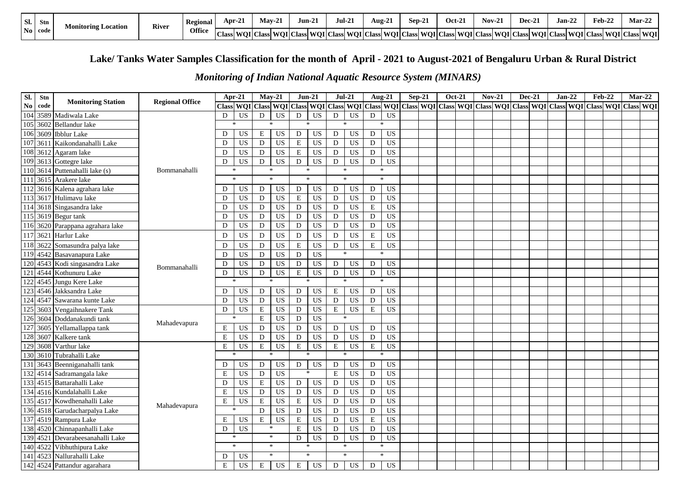| Sl. | <b>Stn</b>     | <b>Monitoring Location</b> | <b>River</b> | Regional | Apr-21 | $\sim$<br>$Max-2$                            | Jun-2. | 1.21<br>Jul-21 | $\sim$<br>Aug-21 | Sep-2.                                                                                                                      | Oct-2. | $Nov-2$ | $Dec-2.$ | $\mathbf{A}$<br>Jan-22 | $\sim$<br>$\mathbf{A}$<br>eb-22 | $\sim$<br><b>Mar-22</b> |
|-----|----------------|----------------------------|--------------|----------|--------|----------------------------------------------|--------|----------------|------------------|-----------------------------------------------------------------------------------------------------------------------------|--------|---------|----------|------------------------|---------------------------------|-------------------------|
|     | $\bf{No}$ code |                            |              | Office   |        | Class   WQI   Class   WQI   Class   WQI   Cl |        |                |                  | Class   WOI   Class   WOI   Class   WOI   Class   WOI   Class   WOI   Class   WOI   Class   WOI   Class   WOI   Class   WOI |        |         |          |                        |                                 |                         |

## **Lake/ Tanks Water Samples Classification for the month of April - 2021 to August-2021 of Bengaluru Urban & Rural District**

## *Monitoring of Indian National Aquatic Resource System (MINARS)*

| Sl.              | Stn      | <b>Monitoring Station</b>     | <b>Regional Office</b> | Apr-21                   | $Mav-21$     |                 | $Jun-21$    |           | $Jul-21$                                                                                                      |                              | <b>Aug-21</b>                              |                            | $Sep-21$ | <b>Oct-21</b> | $Nov-21$ | <b>Dec-21</b> | $Jan-22$ | <b>Feb-22</b> | $Mar-22$ |  |
|------------------|----------|-------------------------------|------------------------|--------------------------|--------------|-----------------|-------------|-----------|---------------------------------------------------------------------------------------------------------------|------------------------------|--------------------------------------------|----------------------------|----------|---------------|----------|---------------|----------|---------------|----------|--|
| $\bf No$         | code     |                               |                        | <b>Class WQI</b>         | <b>Class</b> | <b>WOI</b>      |             |           | Class WQI Class WQI Class WQI Class WQI Class WQI Class WQI Class WQI Class WQI Class WQI Class WQI Class WQI |                              |                                            |                            |          |               |          |               |          |               |          |  |
| 104              | 3589     | Madiwala Lake                 |                        | US<br>D                  | D            | US              | D           | US        | ${\rm D}$                                                                                                     | <b>US</b><br>${\bf D}$       | <b>US</b>                                  |                            |          |               |          |               |          |               |          |  |
| 105              | 3602     | Bellandur lake                |                        | $\star$                  | $\star$      |                 | $\star$     |           |                                                                                                               |                              |                                            |                            |          |               |          |               |          |               |          |  |
| 106              | 3609     | <b>Ibblur</b> Lake            |                        | <b>US</b><br>D           | Е            | US              | D           | US        | $\mathbf D$                                                                                                   | US                           | D<br><b>US</b>                             |                            |          |               |          |               |          |               |          |  |
| 107              | 3611     | Kaikondanahalli Lake          |                        | $\overline{US}$<br>D     | $\mathbf D$  | <b>US</b>       | $\mathbf E$ | <b>US</b> | $\mathbf D$                                                                                                   | <b>US</b>                    | $\mathbf D$<br>$\overline{US}$             |                            |          |               |          |               |          |               |          |  |
| 108              | 3612     | Agaram lake                   |                        | <b>US</b><br>D           | D            | <b>US</b>       | $\mathbf E$ | <b>US</b> | D                                                                                                             | <b>US</b><br>D               | <b>US</b>                                  |                            |          |               |          |               |          |               |          |  |
| 109              | 3613     | Gottegre lake                 |                        | D<br>US                  | D            | US              | D           | US        | ${\bf D}$                                                                                                     | <b>US</b>                    | $\mathbf D$<br><b>US</b>                   |                            |          |               |          |               |          |               |          |  |
| 110              | 3614     | Puttenahalli lake (s)         | Bommanahalli           | $\star$                  | $\ast$       |                 | $*$         |           | $\ast$                                                                                                        |                              | $\ast$                                     |                            |          |               |          |               |          |               |          |  |
| 111              | 3615     | Arakere lake                  |                        | $\ast$                   | $\ast$       |                 | $\star$     |           | $\ast$                                                                                                        |                              | $\star$                                    |                            |          |               |          |               |          |               |          |  |
| 112              |          | 3616 Kalena agrahara lake     |                        | US<br>D                  | D            | <b>US</b>       | ${\bf D}$   | <b>US</b> | ${\bf D}$                                                                                                     | US<br>D                      | <b>US</b>                                  |                            |          |               |          |               |          |               |          |  |
| 113              |          | 3617 Hulimavu lake            |                        | <b>US</b><br>D           | $\mathbf D$  | <b>US</b>       | $\mathbf E$ | <b>US</b> | D                                                                                                             | $\overline{US}$<br>${\bf D}$ | $\overline{US}$                            |                            |          |               |          |               |          |               |          |  |
| 114              | 3618     | Singasandra lake              |                        | <b>US</b><br>D           | D            | <b>US</b>       | ${\bf D}$   | <b>US</b> | D                                                                                                             | <b>US</b>                    | ${\bf E}$                                  | <b>US</b>                  |          |               |          |               |          |               |          |  |
| 115              |          | 3619 Begur tank               |                        | $_{\rm US}$<br>D         | D            | US              | $\mathbf D$ | US        | D                                                                                                             | $_{\rm US}$                  | D                                          | $\boldsymbol{\mathsf{US}}$ |          |               |          |               |          |               |          |  |
| 116              | 3620     | Parappana agrahara lake       |                        | <b>US</b><br>D           | D            | US              | $\mathbf D$ | <b>US</b> | ${\bf D}$                                                                                                     | $_{\rm US}$                  | ${\rm D}$                                  | $\boldsymbol{\mathsf{US}}$ |          |               |          |               |          |               |          |  |
| 117              | 3621     | Harlur Lake                   |                        | D<br><b>US</b>           | D            | <b>US</b>       | ${\bf D}$   | US        | ${\bf D}$                                                                                                     | <b>US</b>                    | ${\bf E}$                                  | <b>US</b>                  |          |               |          |               |          |               |          |  |
| 118              | 3622     | Somasundra palya lake         |                        | <b>US</b><br>D           | $\mathbf D$  | <b>US</b>       | $\mathbf E$ | US        | $\mathbf D$                                                                                                   | <b>US</b>                    | $\overline{\mathrm{E}}$<br>$\overline{US}$ |                            |          |               |          |               |          |               |          |  |
|                  |          | 119 4542 Basavanapura Lake    |                        | <b>US</b><br>D           | $\mathbf D$  | <b>US</b>       | D           | <b>US</b> | $\ast$                                                                                                        |                              | $\ast$                                     |                            |          |               |          |               |          |               |          |  |
| 120              | 4543     | Kodi singasandra Lake         | Bommanahalli           | D<br><b>US</b>           | D            | <b>US</b>       | D           | <b>US</b> | D                                                                                                             | <b>US</b><br>D               | <b>US</b>                                  |                            |          |               |          |               |          |               |          |  |
| 121              | 4544     | Kothunuru Lake                |                        | D<br>US                  | D            | US              | $\mathbf E$ | <b>US</b> | $\mathbf D$                                                                                                   | US<br>$\mathbf D$            | <b>US</b>                                  |                            |          |               |          |               |          |               |          |  |
| 122              | 4545     | Jungu Kere Lake               |                        |                          |              |                 | $\ast$      |           |                                                                                                               |                              |                                            |                            |          |               |          |               |          |               |          |  |
| 123              | 4546     | Jakksandra Lake               |                        | D<br>US                  | D            | US              | ${\bf D}$   | <b>US</b> | $\mathbf E$                                                                                                   | <b>US</b><br>$\mathbf D$     | <b>US</b>                                  |                            |          |               |          |               |          |               |          |  |
| 124              | 4547     | Sawarana kunte Lake           |                        | <b>US</b><br>D           | $\mathbf D$  | <b>US</b>       | D           | <b>US</b> | D                                                                                                             | US<br>D                      |                                            | $\overline{US}$            |          |               |          |               |          |               |          |  |
| $\overline{125}$ | 3603     | Vengaihnakere Tank            |                        | D<br><b>US</b>           | E            | US              | D           | <b>US</b> | $\mathbf E$                                                                                                   | $\overline{US}$              | $\mathbf E$<br>$\overline{US}$             |                            |          |               |          |               |          |               |          |  |
| 126              | 3604     | Doddanakundi tank             | Mahadevapura           |                          | E            | <b>US</b>       | D           | <b>US</b> |                                                                                                               |                              |                                            |                            |          |               |          |               |          |               |          |  |
| 127              | 3605     | Yellamallappa tank            |                        | E<br>US                  | D            | US              | $\mathbf D$ | <b>US</b> | ${\bf D}$                                                                                                     | US                           | D<br>US                                    |                            |          |               |          |               |          |               |          |  |
| 128              | 3607     | Kalkere tank                  |                        | $\mathbf E$<br><b>US</b> | $\mathbf D$  | US              | $\mathbf D$ | <b>US</b> | ${\rm D}$                                                                                                     | $\overline{US}$<br>${\bf D}$ | <b>US</b>                                  |                            |          |               |          |               |          |               |          |  |
| 129              | 3608     | Varthur lake                  |                        | $\mathbf E$<br>US        | $\mathbf E$  | $\overline{US}$ | ${\bf E}$   | <b>US</b> | ${\bf E}$                                                                                                     | $\overline{US}$              | E                                          | $\overline{US}$            |          |               |          |               |          |               |          |  |
| 130              | 3610     | Tubrahalli Lake               |                        |                          | ×,           |                 | $\ast$      |           |                                                                                                               |                              |                                            |                            |          |               |          |               |          |               |          |  |
| 131              | 3643     | Beenniganahalli tank          |                        | D<br><b>US</b>           | D            | <b>US</b>       | D           | <b>US</b> | ${\bf D}$                                                                                                     | <b>US</b><br>${\bf D}$       |                                            | <b>US</b>                  |          |               |          |               |          |               |          |  |
| 132              | 4514     | Sadramangala lake             |                        | E<br><b>US</b>           | D            | US              | $\ast$      |           | $\mathbf E$                                                                                                   | <b>US</b>                    | D                                          | <b>US</b>                  |          |               |          |               |          |               |          |  |
| 133              | 4515     | Battarahalli Lake             |                        | <b>US</b><br>D           | ${\bf E}$    | US              | D           | <b>US</b> | D                                                                                                             | $_{\rm US}$<br>D             |                                            | $\boldsymbol{\mathsf{US}}$ |          |               |          |               |          |               |          |  |
| 134              | 4516     | Kundalahalli Lake             |                        | $\mathbf E$<br><b>US</b> | $\mathbf D$  | <b>US</b>       | ${\bf D}$   | <b>US</b> | ${\bf D}$                                                                                                     | <b>US</b><br>${\bf D}$       |                                            | <b>US</b>                  |          |               |          |               |          |               |          |  |
| 135              |          | 4517 Kowdhenahalli Lake       | Mahadevapura           | E<br>US                  | $\mathbf E$  | US              | E           | US        | D                                                                                                             | <b>US</b><br>${\bf D}$       |                                            | US                         |          |               |          |               |          |               |          |  |
|                  |          | 136 4518 Garudacharpalya Lake |                        |                          | $\mathbf{D}$ | $\overline{US}$ | ${\bf D}$   | <b>US</b> | ${\bf D}$                                                                                                     | $\overline{US}$<br>${\bf D}$ |                                            | US                         |          |               |          |               |          |               |          |  |
|                  | 137 4519 | Rampura Lake                  |                        | $\mathbf E$<br>US        | E            | $\overline{US}$ | $\mathbf E$ | <b>US</b> | D                                                                                                             | <b>US</b>                    | ${\bf E}$                                  | <b>US</b>                  |          |               |          |               |          |               |          |  |
| 138              | 4520     | Chinnapanhalli Lake           |                        | <b>US</b><br>D           | $\ast$       |                 | E           | <b>US</b> | D                                                                                                             | <b>US</b>                    | D                                          | US                         |          |               |          |               |          |               |          |  |
| 139              | 4521     | Devarabeesanahalli Lake       |                        | $\star$                  | $\ast$       |                 | D           | <b>US</b> | $\mathbf D$                                                                                                   | US                           | $\mathbf D$<br><b>US</b>                   |                            |          |               |          |               |          |               |          |  |
|                  |          | 140 4522 Vibhuthipura Lake    |                        | $\ast$                   | $\ast$       |                 | $\ast$      |           | $\ast$                                                                                                        |                              | $\ast$                                     |                            |          |               |          |               |          |               |          |  |
| 141              | 4523     | Nallurahalli Lake             |                        | US<br>D                  | $\ast$       |                 | $\star$     |           | $\ast$                                                                                                        |                              | $\mathbf{x}$                               |                            |          |               |          |               |          |               |          |  |
|                  |          | 142 4524 Pattandur agarahara  |                        | E<br><b>US</b>           | E            | <b>US</b>       | $\mathbf E$ | <b>US</b> | D                                                                                                             | US<br>D                      | <b>US</b>                                  |                            |          |               |          |               |          |               |          |  |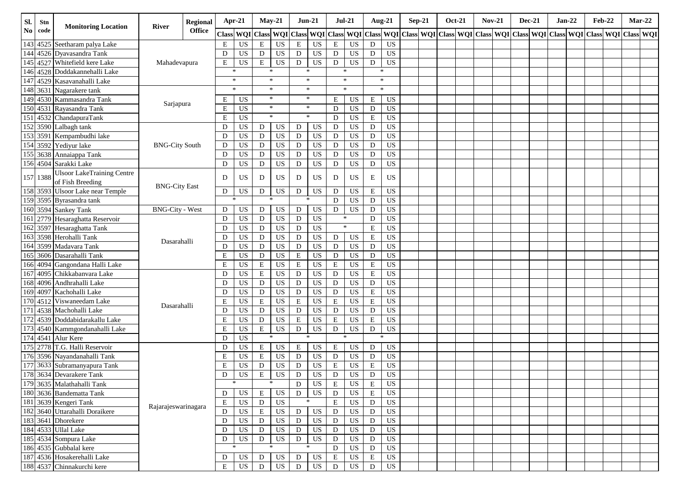| SI.                    | Stn      | <b>Monitoring Location</b>                           | River                  | Regional      | Apr-21       |                 |             | $May-21$        | $Jun-21$    |           |             | $Jul-21$        |                  | Aug-21         | $Sep-21$ | <b>Oct-21</b> | $Nov-21$ |  | <b>Dec-21</b> | $Jan-22$                                                                                                                                                        | <b>Feb-22</b> |  | $Mar-22$ |
|------------------------|----------|------------------------------------------------------|------------------------|---------------|--------------|-----------------|-------------|-----------------|-------------|-----------|-------------|-----------------|------------------|----------------|----------|---------------|----------|--|---------------|-----------------------------------------------------------------------------------------------------------------------------------------------------------------|---------------|--|----------|
| $\mathbf{N}\mathbf{o}$ | code     |                                                      |                        | <b>Office</b> | <b>Class</b> |                 |             |                 |             |           |             |                 |                  |                |          |               |          |  |               | WQI Class   WQI Class   WQI Class   WQI Class   WQI Class   WQI Class   WQI Class   WQI Class   WQI Class   WQI Class   WQI Class   WQI Class   WQI Class   WQI |               |  |          |
|                        |          | 143 4525 Seetharam palya Lake                        |                        |               | E            | US              | ${\bf E}$   | US              | E           | US        | $\,$ E      | US              | D                | <b>US</b>      |          |               |          |  |               |                                                                                                                                                                 |               |  |          |
| 144                    |          | 4526 Dyavasandra Tank                                |                        |               | D            | <b>US</b>       | D           | <b>US</b>       | D           | US        | D           | US              | D                | <b>US</b>      |          |               |          |  |               |                                                                                                                                                                 |               |  |          |
| 145                    |          | 4527 Whitefield kere Lake                            | Mahadevapura           |               | Е            | <b>US</b>       | ${\bf E}$   | US              | $\mathbf D$ | US        | D           | <b>US</b>       | D                | <b>US</b>      |          |               |          |  |               |                                                                                                                                                                 |               |  |          |
| 146                    |          | 4528 Doddakannehalli Lake                            |                        |               |              | *               |             |                 | *           |           | ∗           |                 |                  | *              |          |               |          |  |               |                                                                                                                                                                 |               |  |          |
| 147                    |          | 4529 Kasavanahalli Lake                              |                        |               |              | $\ast$          |             | $\ast$          |             | $\ast$    | $\ast$      |                 |                  | $\ast$         |          |               |          |  |               |                                                                                                                                                                 |               |  |          |
| 148                    | 3631     | Nagarakere tank                                      |                        |               |              | $\ast$          |             | $\ast$          | $\ast$      |           |             | $\ast$          |                  | $\ast$         |          |               |          |  |               |                                                                                                                                                                 |               |  |          |
| 149                    |          | 4530 Kammasandra Tank                                | Sarjapura              |               | E            | <b>US</b>       |             | $\ast$          |             | $\ast$    | Ε           | US              | E                | US             |          |               |          |  |               |                                                                                                                                                                 |               |  |          |
| 150                    |          | 4531 Rayasandra Tank                                 |                        |               | E            | <b>US</b>       |             | $\ast$          |             | $\ast$    | D           | US              | D                | <b>US</b>      |          |               |          |  |               |                                                                                                                                                                 |               |  |          |
| 151                    |          | 4532 ChandapuraTank                                  |                        |               | E            | <b>US</b>       |             | $\ast$          |             | $\ast$    | D           | US              | ${\bf E}$        | <b>US</b>      |          |               |          |  |               |                                                                                                                                                                 |               |  |          |
|                        |          | $152$ 3590 Lalbagh tank                              |                        |               | D            | US              | D           | US              | D           | US        | ${\bf D}$   | US              | $\mathbf D$      | <b>US</b>      |          |               |          |  |               |                                                                                                                                                                 |               |  |          |
|                        |          | 153 3591 Kempambudhi lake                            |                        |               | D            | $_{\rm US}$     | D           | <b>US</b>       | D           | US        | ${\bf D}$   | US              | $\mathbf D$      | US             |          |               |          |  |               |                                                                                                                                                                 |               |  |          |
| 154                    | 3592     | Yediyur lake                                         | <b>BNG-City South</b>  |               | $\mathbf D$  | <b>US</b>       | $\mathbf D$ | <b>US</b>       | D           | US        | ${\bf D}$   | US              | $\mathbf D$      | <b>US</b>      |          |               |          |  |               |                                                                                                                                                                 |               |  |          |
|                        |          | 155 3638 Annaiappa Tank                              |                        |               | D            | US              | D           | <b>US</b>       | D           | <b>US</b> | $\mathbf D$ | US              | D                | <b>US</b>      |          |               |          |  |               |                                                                                                                                                                 |               |  |          |
|                        |          | 156 4504 Sarakki Lake                                |                        |               | D            | US              | D           | <b>US</b>       | D           | US        | $\mathbf D$ | US              | $\mathbf D$      | <b>US</b>      |          |               |          |  |               |                                                                                                                                                                 |               |  |          |
|                        | 157 1388 | <b>Ulsoor LakeTraining Centre</b>                    |                        |               | D            | <b>US</b>       | D           | <b>US</b>       | D           | US        | D           | US              | E                | <b>US</b>      |          |               |          |  |               |                                                                                                                                                                 |               |  |          |
|                        |          | of Fish Breeding<br>158 3593 Ulsoor Lake near Temple | <b>BNG-City East</b>   |               |              |                 |             | US              | D           | US        | D           | US              |                  | <b>US</b>      |          |               |          |  |               |                                                                                                                                                                 |               |  |          |
|                        |          | 159 3595 Byrasandra tank                             |                        |               | D            | US<br>*         | D           |                 |             | ∗         | $\mathbf D$ | <b>US</b>       | E<br>$\mathbf D$ | <b>US</b>      |          |               |          |  |               |                                                                                                                                                                 |               |  |          |
|                        |          | 160 3594 Sankey Tank                                 | <b>BNG-City - West</b> |               | D            | US              | D           | <b>US</b>       | ${\bf D}$   | US        | $\mathbf D$ | <b>US</b>       | $\mathbf D$      | <b>US</b>      |          |               |          |  |               |                                                                                                                                                                 |               |  |          |
| 161                    |          | 2779 Hesaraghatta Reservoir                          |                        |               | D            | $_{\rm US}$     | D           | <b>US</b>       | D           | US        | $\ast$      |                 | $\mathbf D$      | <b>US</b>      |          |               |          |  |               |                                                                                                                                                                 |               |  |          |
| 162                    |          | 3597 Hesaraghatta Tank                               |                        |               | D            | US              | D           | <b>US</b>       | D           | US        |             | $\ast$          | ${\bf E}$        | <b>US</b>      |          |               |          |  |               |                                                                                                                                                                 |               |  |          |
| 163                    |          | 3598 Herohalli Tank                                  |                        |               | D            | US              | D           | <b>US</b>       | D           | <b>US</b> | $\mathbf D$ | US              | ${\bf E}$        | <b>US</b>      |          |               |          |  |               |                                                                                                                                                                 |               |  |          |
| 164                    | 3599     | Madavara Tank                                        | Dasarahalli            |               | D            | US              | D           | <b>US</b>       | D           | <b>US</b> | ${\bf D}$   | US              | D                | <b>US</b>      |          |               |          |  |               |                                                                                                                                                                 |               |  |          |
| 165                    |          | 3606 Dasarahalli Tank                                |                        |               | E            | US              | ${\rm D}$   | <b>US</b>       | E           | US        | D           | $_{\rm US}$     | $\mathbf D$      | <b>US</b>      |          |               |          |  |               |                                                                                                                                                                 |               |  |          |
| 166                    | 4094     | Gangondana Halli Lake                                |                        |               | E            | US              | $\mathbf E$ | <b>US</b>       | E           | US        | $\mathbf E$ | US              | ${\bf E}$        | <b>US</b>      |          |               |          |  |               |                                                                                                                                                                 |               |  |          |
| 167                    |          | 4095 Chikkabanyara Lake                              |                        |               | D            | US              | $\mathbf E$ | <b>US</b>       | D           | <b>US</b> | ${\bf D}$   | US              | $\mathbf E$      | <b>US</b>      |          |               |          |  |               |                                                                                                                                                                 |               |  |          |
|                        |          | 168 4096 Andhrahalli Lake                            |                        |               | D            | US              | ${\rm D}$   | <b>US</b>       | D           | US        | ${\bf D}$   | $_{\rm US}$     | D                | <b>US</b>      |          |               |          |  |               |                                                                                                                                                                 |               |  |          |
| 169                    | 4097     | Kachohalli Lake                                      |                        |               | D            | $_{\rm US}$     | D           | <b>US</b>       | D           | US        | ${\bf D}$   | US              | ${\bf E}$        | <b>US</b>      |          |               |          |  |               |                                                                                                                                                                 |               |  |          |
| 170                    | 4512     | Viswaneedam Lake                                     |                        |               | E            | <b>US</b>       | E           | <b>US</b>       | $\mathbf E$ | US        | $\mathbf E$ | <b>US</b>       | ${\bf E}$        | <b>US</b>      |          |               |          |  |               |                                                                                                                                                                 |               |  |          |
| 171                    |          | 4538 Machohalli Lake                                 | Dasarahalli            |               | D            | <b>US</b>       | D           | <b>US</b>       | D           | <b>US</b> | D           | <b>US</b>       | $\mathbf D$      | <b>US</b>      |          |               |          |  |               |                                                                                                                                                                 |               |  |          |
| 172                    |          | 4539 Doddabidarakallu Lake                           |                        |               | E            | US              | D           | US              | E           | US        | E           | <b>US</b>       | ${\bf E}$        | <b>US</b>      |          |               |          |  |               |                                                                                                                                                                 |               |  |          |
|                        |          | 173 4540 Kammgondanahalli Lake                       |                        |               | E            | US              | $\mathbf E$ | <b>US</b>       | $\mathbf D$ | US        | $\mathbf D$ | <b>US</b>       | D                | <b>US</b>      |          |               |          |  |               |                                                                                                                                                                 |               |  |          |
| 174                    |          | 4541 Alur Kere                                       |                        |               | D            | <b>US</b>       |             | $\ast$          |             | $\ast$    | $\ast$      |                 |                  | $\ast$         |          |               |          |  |               |                                                                                                                                                                 |               |  |          |
|                        |          | 175 2778 T.G. Halli Reservoir                        |                        |               | D            | US              | $\mathbf E$ | US              | $\mathbf E$ | US        | E           | $_{\rm US}$     | D                | <b>US</b>      |          |               |          |  |               |                                                                                                                                                                 |               |  |          |
|                        |          | 176 3596 Nayandanahalli Tank                         |                        |               | E            | US              | $\mathbf E$ | US              | $\mathbf D$ | <b>US</b> | ${\bf D}$   | US              | $\mathbf D$      | <b>US</b>      |          |               |          |  |               |                                                                                                                                                                 |               |  |          |
| 177                    |          | 3633 Subramanyapura Tank                             |                        |               | E            | US              | ${\bf D}$   | <b>US</b>       | ${\rm D}$   | <b>US</b> | $\mathbf E$ | $_{\rm US}$     | $\mathbf E$      | <b>US</b>      |          |               |          |  |               |                                                                                                                                                                 |               |  |          |
| 178                    |          | 3634 Devarakere Tank                                 |                        |               | $\mathbf{D}$ | $\overline{US}$ | E           | $\overline{US}$ | $\mathbf D$ | <b>US</b> | $\mathbf D$ | $\overline{US}$ | $\mathbf{D}$     | <b>US</b>      |          |               |          |  |               |                                                                                                                                                                 |               |  |          |
|                        |          | 179 3635 Malathahalli Tank                           |                        |               |              | *               |             |                 | D           | US        | E           | US              | Е                | US             |          |               |          |  |               |                                                                                                                                                                 |               |  |          |
|                        |          | 180 3636 Bandematta Tank                             |                        |               | D            | US              | Ε           | US              | D           | US        | $\mathbf D$ | US              | $\mathbf E$      | $_{\rm US}$    |          |               |          |  |               |                                                                                                                                                                 |               |  |          |
|                        |          | 181 3639 Kengeri Tank                                |                        |               | E            | US              | D           | US              |             | ∗         | $\mathbf E$ | US              | ${\bf D}$        | US <sub></sub> |          |               |          |  |               |                                                                                                                                                                 |               |  |          |
|                        |          | 182 3640 Uttarahalli Doraikere                       | Rajarajeswarinagara    |               | ${\rm D}$    | $_{\rm US}$     | ${\bf E}$   | $_{\rm US}$     | ${\bf D}$   | US        | ${\bf D}$   | US              | ${\bf D}$        | US             |          |               |          |  |               |                                                                                                                                                                 |               |  |          |
|                        |          | 183 3641 Dhorekere                                   |                        |               | ${\bf D}$    | US              | D           | $_{\rm US}$     | D           | US        | D           | US              | D                | US             |          |               |          |  |               |                                                                                                                                                                 |               |  |          |
|                        |          | 184 4533 Ullal Lake                                  |                        |               | D            | US              | D           | US              | D           | US        | ${\bf D}$   | US              | $\mathbf D$      | <b>US</b>      |          |               |          |  |               |                                                                                                                                                                 |               |  |          |
|                        |          | 185 4534 Sompura Lake                                |                        |               | D            | US              | $\mathbf D$ | US              | D           | US        | $\mathbf D$ | US              | ${\bf D}$        | US             |          |               |          |  |               |                                                                                                                                                                 |               |  |          |
|                        |          | 186 4535 Gubbalal kere                               |                        |               |              |                 |             |                 | $\ast$      |           | D           | US              | $\mathbf D$      | $_{\rm US}$    |          |               |          |  |               |                                                                                                                                                                 |               |  |          |
|                        |          | 187 4536 Hosakerehalli Lake                          |                        |               | D            | US              | D           | US              | D           | US        | $\mathbf E$ | US              | ${\bf E}$        | $_{\rm US}$    |          |               |          |  |               |                                                                                                                                                                 |               |  |          |
|                        |          | 188 4537 Chinnakurchi kere                           |                        |               | $\mathbf E$  | US              | $\mathbf D$ | US              | $\mathbf D$ | US        | $\mathbf D$ | US              | ${\rm D}$        | $_{\rm US}$    |          |               |          |  |               |                                                                                                                                                                 |               |  |          |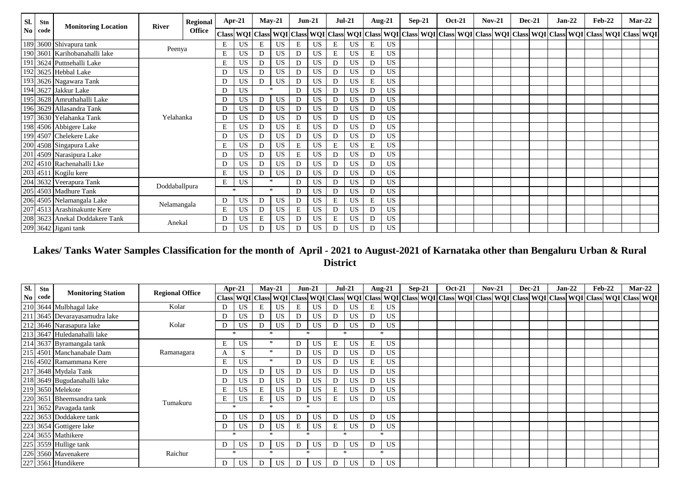| Sl. | Stn  | <b>Monitoring Location</b>     | <b>Regional</b> |               | $Apr-21$     | $May-21$  |        | $Jun-21$  |   | <b>Jul-21</b> |    | <b>Aug-21</b> |   | <b>Sep-21</b> | <b>Oct-21</b> | $Nov-21$ | <b>Dec-21</b> | $Jan-22$ |                                                                                                                                                 | <b>Feb-22</b> | $Mar-22$ |  |
|-----|------|--------------------------------|-----------------|---------------|--------------|-----------|--------|-----------|---|---------------|----|---------------|---|---------------|---------------|----------|---------------|----------|-------------------------------------------------------------------------------------------------------------------------------------------------|---------------|----------|--|
| No  | code |                                | <b>River</b>    | <b>Office</b> | <b>Class</b> |           |        |           |   |               |    |               |   |               |               |          |               |          | WQI Class WQI Class WQI Class WQI Class WQI Class WQI Class WQI Class WQI Class WQI Class WQI Class WQI Class WQI Class WQI Class WQI Class WQI |               |          |  |
|     |      | 189 3600 Shivapura tank        | Peenya          |               | Ε            | US        | E      | <b>US</b> | E | <b>US</b>     | E  | US            | E | US            |               |          |               |          |                                                                                                                                                 |               |          |  |
|     |      | 190 3601 Karihobanahalli lake  |                 |               | E            | US        | D      | <b>US</b> | D | <b>US</b>     | E  | <b>US</b>     | E | <b>US</b>     |               |          |               |          |                                                                                                                                                 |               |          |  |
| 191 |      | 3624 Puttnehalli Lake          |                 |               | Ε            | US        | D      | <b>US</b> | D | <b>US</b>     | D  | <b>US</b>     | D | <b>US</b>     |               |          |               |          |                                                                                                                                                 |               |          |  |
|     |      | 192 3625 Hebbal Lake           |                 |               | D            | US        | D      | US        | D | <b>US</b>     | D  | <b>US</b>     | D | US            |               |          |               |          |                                                                                                                                                 |               |          |  |
|     |      | 193 3626 Nagawara Tank         |                 |               | D            | US        | D      | US        | D | <b>US</b>     | D  | <b>US</b>     | E | <b>US</b>     |               |          |               |          |                                                                                                                                                 |               |          |  |
|     |      | 194 3627 Jakkur Lake           |                 |               | D.           | US        | $\ast$ |           | D | <b>US</b>     | D  | <b>US</b>     | D | US            |               |          |               |          |                                                                                                                                                 |               |          |  |
|     |      | 195 3628 Amruthahalli Lake     |                 |               | D            | <b>US</b> | D      | US        | D | <b>US</b>     | D. | <b>US</b>     | D | <b>US</b>     |               |          |               |          |                                                                                                                                                 |               |          |  |
|     |      | 196 3629 Allasandra Tank       |                 |               | D            | US        | D      | US        | D | <b>US</b>     | D  | <b>US</b>     | D | US            |               |          |               |          |                                                                                                                                                 |               |          |  |
| 197 |      | 3630 Yelahanka Tank            | Yelahanka       |               | D            | US        | D      | US        | D | <b>US</b>     | D  | <b>US</b>     | D | US            |               |          |               |          |                                                                                                                                                 |               |          |  |
|     |      | 198 4506 Abbigere Lake         |                 |               | E            | US        | D      | <b>US</b> | E | <b>US</b>     | D  | US            | D | <b>US</b>     |               |          |               |          |                                                                                                                                                 |               |          |  |
|     |      | 199 4507 Chelekere Lake        |                 |               | D.           | US        | D      | <b>US</b> | D | <b>US</b>     | D. | <b>US</b>     | D | <b>US</b>     |               |          |               |          |                                                                                                                                                 |               |          |  |
|     |      | 200 4508 Singapura Lake        |                 |               | E            | <b>US</b> | D      | <b>US</b> | E | <b>US</b>     | E  | <b>US</b>     | E | US            |               |          |               |          |                                                                                                                                                 |               |          |  |
|     |      | 201 4509 Narasipura Lake       |                 |               | D            | US        | D      | <b>US</b> | E | <b>US</b>     | D. | <b>US</b>     | D | US            |               |          |               |          |                                                                                                                                                 |               |          |  |
|     |      | 202 4510 Rachenahalli Lke      |                 |               | D            | US        | D      | US        | D | <b>US</b>     | D  | <b>US</b>     | D | <b>US</b>     |               |          |               |          |                                                                                                                                                 |               |          |  |
|     |      | 203 4511 Kogilu kere           |                 |               | E            | US        | D      | US        | D | <b>US</b>     | D  | <b>US</b>     | D | <b>US</b>     |               |          |               |          |                                                                                                                                                 |               |          |  |
|     |      | 204 3632 Veerapura Tank        | Doddaballpura   |               | E            | US        | $\ast$ |           | D | <b>US</b>     | D. | <b>US</b>     | D | <b>US</b>     |               |          |               |          |                                                                                                                                                 |               |          |  |
|     |      | 205 4503 Madhure Tank          |                 |               |              | $\ast$    | $\ast$ |           | D | <b>US</b>     | D  | <b>US</b>     | D | US            |               |          |               |          |                                                                                                                                                 |               |          |  |
|     |      | 206 4505 Nelamangala Lake      |                 |               | D            | <b>US</b> | D      | US        | D | <b>US</b>     | E  | <b>US</b>     | E | US            |               |          |               |          |                                                                                                                                                 |               |          |  |
|     |      | 207 4513 Arashinakunte Kere    | Nelamangala     |               | E            | <b>US</b> | D      | <b>US</b> | E | <b>US</b>     | D  | US            | D | <b>US</b>     |               |          |               |          |                                                                                                                                                 |               |          |  |
|     |      | 208 3623 Anekal Doddakere Tank | Anekal          |               | D            | US        | E      | <b>US</b> | D | <b>US</b>     | E  | <b>US</b>     | D | <b>US</b>     |               |          |               |          |                                                                                                                                                 |               |          |  |
|     |      | 209 3642 Jigani tank           |                 |               | D            | <b>US</b> | D      | US        | D | <b>US</b>     | D  | <b>US</b>     | D | US            |               |          |               |          |                                                                                                                                                 |               |          |  |

# **Lakes/ Tanks Water Samples Classification for the month of April - 2021 to August-2021 of Karnataka other than Bengaluru Urban & Rural District**

| Sl. | Stn     |                             | <b>Regional Office</b> | $Apr-21$                                                                                                                                                                                                                     |           | $Mav-21$   |           | $Jun-21$      |    | $Jul-21$ |           | <b>Aug-21</b> |           | $Sep-21$ | <b>Oct-21</b> | $Nov-21$ |  | <b>Dec-21</b> | $Jan-22$ | <b>Feb-22</b> |  | $Mar-22$ |
|-----|---------|-----------------------------|------------------------|------------------------------------------------------------------------------------------------------------------------------------------------------------------------------------------------------------------------------|-----------|------------|-----------|---------------|----|----------|-----------|---------------|-----------|----------|---------------|----------|--|---------------|----------|---------------|--|----------|
|     | No code | <b>Monitoring Station</b>   |                        | Class   WQI   Class   WQI   Class   WQI   Class   WQI   Class   WQI   Class   WQI   Class   WQI   Class   WQI   Class   WQI   Class   WQI   Class   WQI   Class   WQI   Class   WQI   Class   WQI   Class   WQI   Class   WQ |           |            |           |               |    |          |           |               |           |          |               |          |  |               |          |               |  |          |
|     |         | 210 3644 Mulbhagal lake     | Kolar                  | D                                                                                                                                                                                                                            | US        | E          | US        | E.            |    |          | US.       | E             | <b>US</b> |          |               |          |  |               |          |               |  |          |
| 211 |         | 3645 Devarayasamudra lake   |                        |                                                                                                                                                                                                                              | US.       | D          | <b>US</b> | D             | US |          | US.       | D             | <b>US</b> |          |               |          |  |               |          |               |  |          |
|     |         | 212 3646 Narasapura lake    | Kolar                  | D                                                                                                                                                                                                                            | US        | D          | US        | D             | US | D        | <b>US</b> | D             | <b>US</b> |          |               |          |  |               |          |               |  |          |
|     |         | 213 3647 Huledanahalli lake |                        |                                                                                                                                                                                                                              |           |            |           | $\ast$        |    |          |           | $\ast$        |           |          |               |          |  |               |          |               |  |          |
|     |         | 214 3637 Byramangala tank   |                        | Е                                                                                                                                                                                                                            | <b>US</b> | $\ast$     |           | D             | US | E        | <b>US</b> | E             | <b>US</b> |          |               |          |  |               |          |               |  |          |
|     |         | 215 4501 Manchanabale Dam   | Ramanagara             | A                                                                                                                                                                                                                            | S         | $\ast$     |           | D             | US |          | US.       | D             | <b>US</b> |          |               |          |  |               |          |               |  |          |
|     |         | 216 4502 Ramammana Kere     |                        | E                                                                                                                                                                                                                            | US        | $\ast$     |           | D             | US | D        | US.       | E             | <b>US</b> |          |               |          |  |               |          |               |  |          |
|     |         | 217 3648 Mydala Tank        |                        | D                                                                                                                                                                                                                            | US.       | D          | <b>US</b> | D             | US | D        | US.       | D             | <b>US</b> |          |               |          |  |               |          |               |  |          |
|     |         | 218 3649 Bugudanahalli lake |                        |                                                                                                                                                                                                                              | US        | D          | <b>US</b> | D             | US | D        | US.       | D             | <b>US</b> |          |               |          |  |               |          |               |  |          |
|     |         | 219 3650 Melekote           |                        | Е                                                                                                                                                                                                                            | US        | E          | <b>US</b> | D             | US | E        | US.       | D             | <b>US</b> |          |               |          |  |               |          |               |  |          |
|     |         | 220 3651 Bheemsandra tank   | Tumakuru               | Е                                                                                                                                                                                                                            | <b>US</b> | E          | <b>US</b> | D             | US | E        | US.       | D             | <b>US</b> |          |               |          |  |               |          |               |  |          |
| 221 |         | 3652 Pavagada tank          |                        | $\ast$                                                                                                                                                                                                                       |           |            |           | $\rightarrow$ |    |          |           |               |           |          |               |          |  |               |          |               |  |          |
|     |         | 222 3653 Doddakere tank     |                        | D                                                                                                                                                                                                                            | US.       | D          | <b>US</b> | D             | US | D        | US.       | D             | <b>US</b> |          |               |          |  |               |          |               |  |          |
|     |         | 223 3654 Gottigere lake     |                        | D                                                                                                                                                                                                                            | US        | D          | <b>US</b> | E             | US | E        | US.       | D             | <b>US</b> |          |               |          |  |               |          |               |  |          |
|     |         | 224 3655 Mathikere          |                        | $\ast$                                                                                                                                                                                                                       |           |            |           | <b>Sk</b>     |    |          |           | $\ast$        |           |          |               |          |  |               |          |               |  |          |
|     |         | 225 3559 Hullige tank       |                        | D                                                                                                                                                                                                                            | <b>US</b> | D          | <b>US</b> | D             | US | D        | US        | D             | <b>US</b> |          |               |          |  |               |          |               |  |          |
|     |         | 226 3560 Mavenakere         | Raichur                | $\ast$                                                                                                                                                                                                                       |           | <b>Ski</b> |           | $\ast$        |    | $\star$  |           |               | $*$       |          |               |          |  |               |          |               |  |          |
|     |         | 227 3561 Hundikere          |                        | D                                                                                                                                                                                                                            | US.       | D          | US        | D             | US | D        | US.       | D             | <b>US</b> |          |               |          |  |               |          |               |  |          |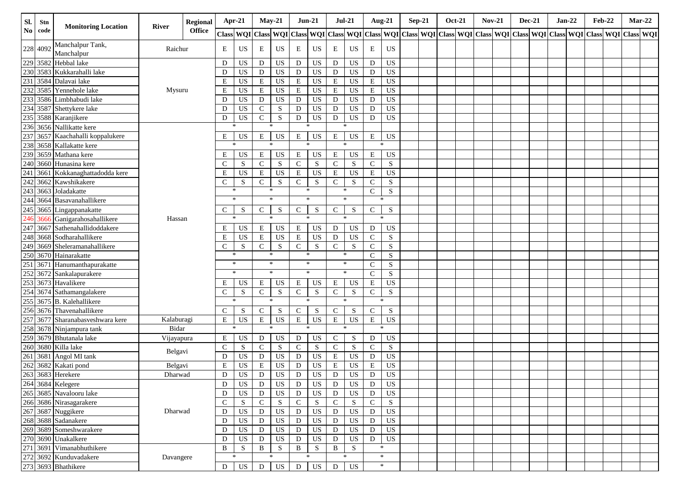| Sl.           | Stn      | <b>Monitoring Location</b>                | River      | <b>Regional</b> | $Apr-21$      |             | $May-21$     |             | $Jun-21$     |                 | $Jul-21$      |                 | <b>Aug-21</b> |             | $Sep-21$ |  | <b>Oct-21</b> | $Nov-21$ | $Dec-21$ | $Jan-22$ | <b>Feb-22</b>                                                                                                                     |  | $Mar-22$ |
|---------------|----------|-------------------------------------------|------------|-----------------|---------------|-------------|--------------|-------------|--------------|-----------------|---------------|-----------------|---------------|-------------|----------|--|---------------|----------|----------|----------|-----------------------------------------------------------------------------------------------------------------------------------|--|----------|
| $\mathbf{No}$ | code     |                                           |            | <b>Office</b>   |               |             |              |             |              |                 |               |                 |               |             |          |  |               |          |          |          | Class WQI Class WQI Class WQI Class WQI Class WQI Class WQI Class WQI Class WQI Class WQI Class WQI Class WQI Class WQI Class WQI |  |          |
|               | 228 4092 | Manchalpur Tank,<br>Manchalpur            | Raichur    |                 | E             | US          | E            | US          | E            | US.             | E             | US              | E             | US          |          |  |               |          |          |          |                                                                                                                                   |  |          |
|               | 229 3582 | Hebbal lake                               |            |                 | D             | US          | D            | US          | $\mathbf D$  | US              | D             | US              | D             | US          |          |  |               |          |          |          |                                                                                                                                   |  |          |
| 230           | 3583     | Kukkarahalli lake                         |            |                 | D             | US          | D            | US          | D            | US              | $\mathbf D$   | US              | D             | US          |          |  |               |          |          |          |                                                                                                                                   |  |          |
| 231           |          | 3584 Dalavai lake                         |            |                 | E             | US          | $\mathbf E$  | US          | E            | <b>US</b>       | E             | US              | E             | $_{\rm US}$ |          |  |               |          |          |          |                                                                                                                                   |  |          |
| 232           |          | 3585 Yennehole lake                       | Mysuru     |                 | $\bf E$       | US          | $\mathbf E$  | US          | $\mathbf E$  | <b>US</b>       | $\mathbf E$   | US              | ${\bf E}$     | <b>US</b>   |          |  |               |          |          |          |                                                                                                                                   |  |          |
| 233           |          | 3586 Limbhabudi lake                      |            |                 | D             | US          | D            | US          | D            | US              | $\mathbf D$   | US              | $\mathbf D$   | <b>US</b>   |          |  |               |          |          |          |                                                                                                                                   |  |          |
|               |          | 234 3587 Shettykere lake                  |            |                 | D             | US          | $\mathbf C$  | S           | D            | <b>US</b>       | D             | US              | D             | <b>US</b>   |          |  |               |          |          |          |                                                                                                                                   |  |          |
|               |          | 235 3588 Karanjikere                      |            |                 | D             | US          | $\mathbf C$  | ${\bf S}$   | D            | <b>US</b>       | D             | US              | D             | <b>US</b>   |          |  |               |          |          |          |                                                                                                                                   |  |          |
|               |          | 236 3656 Nallikatte kere                  |            |                 | $\ast$        |             |              | $\ast$      |              | $\ast$          |               |                 |               |             |          |  |               |          |          |          |                                                                                                                                   |  |          |
| 237           |          | 3657 Kaachahalli koppalukere              |            |                 | Е             | US          | E            | US          | E            | US              | E             | US              | E             | US          |          |  |               |          |          |          |                                                                                                                                   |  |          |
|               |          | 238 3658 Kallakatte kere                  |            |                 | $\ast$        |             |              |             |              | $\ast$          |               |                 | $\ast$        |             |          |  |               |          |          |          |                                                                                                                                   |  |          |
|               |          | 239 3659 Mathana kere                     |            |                 | Ε             | US          | E            | US          | Е            | US              | E             | US              | E             | US          |          |  |               |          |          |          |                                                                                                                                   |  |          |
|               |          | 240 3660 Hunasina kere                    |            |                 | $\mathcal{C}$ | S           | $\mathbf C$  | S           | $\mathsf{C}$ | S               | $\mathcal{C}$ | S               | $\mathbf C$   | ${\bf S}$   |          |  |               |          |          |          |                                                                                                                                   |  |          |
| 241           | 3661     | Kokkanaghattadodda kere                   |            |                 | E             | <b>US</b>   | ${\bf E}$    | US          | $\mathbf E$  | <b>US</b>       | E             | US              | ${\bf E}$     | <b>US</b>   |          |  |               |          |          |          |                                                                                                                                   |  |          |
|               |          | 242 3662 Kawshikakere                     |            |                 | $\mathsf{C}$  | S           | ${\bf C}$    | S           | $\mathsf{C}$ | S               | $\mathsf{C}$  | S               | $\mathbf C$   | ${\bf S}$   |          |  |               |          |          |          |                                                                                                                                   |  |          |
|               |          | 243 3663 Joladakatte                      |            |                 |               | $\ast$      |              | $\ast$      | $\ast$       |                 | $\ast$        |                 | $\mathbf C$   | S           |          |  |               |          |          |          |                                                                                                                                   |  |          |
|               |          | 244 3664 Basavanahallikere                |            |                 |               | $\ast$      |              | $\ast$      |              | $\ast$          |               | $\ast$          |               | $\ast$      |          |  |               |          |          |          |                                                                                                                                   |  |          |
|               |          | 245 3665 Lingappanakatte                  |            |                 | C             | S           | $\mathbf C$  | S           | $\mathsf{C}$ | S               | $\mathsf{C}$  | S               | $\mathbf C$   | S           |          |  |               |          |          |          |                                                                                                                                   |  |          |
| 246           | 3666     | Ganigarahosahallikere                     | Hassan     |                 | $\ast$        |             |              | $\ast$      |              | $\ast$          | $\ast$        |                 | $\ast$        |             |          |  |               |          |          |          |                                                                                                                                   |  |          |
| 247           | 3667     | Sathenahallidoddakere                     |            |                 | Е             | US          | E            | US          | $\mathbf E$  | US              | D             | US              | D             | US          |          |  |               |          |          |          |                                                                                                                                   |  |          |
|               |          | 248 3668 Sodharahallikere                 |            |                 | E             | US          | $\mathbf E$  | US          | E            | <b>US</b>       | D             | US              | $\mathbf C$   | S           |          |  |               |          |          |          |                                                                                                                                   |  |          |
| 249           | 3669     | Sheleramanahallikere                      |            |                 | $\mathsf{C}$  | S           | $\mathbf C$  | ${\bf S}$   | $\mathsf{C}$ | S               | $\mathbf C$   | S               | $\mathbf C$   | S           |          |  |               |          |          |          |                                                                                                                                   |  |          |
|               |          | 250 3670 Hainarakatte                     |            |                 | $\ast$        |             |              | $\ast$      | $\ast$       |                 | $\ast$        |                 | $\mathbf C$   | ${\bf S}$   |          |  |               |          |          |          |                                                                                                                                   |  |          |
|               |          | 251 3671 Hanumanthapurakatte              |            |                 |               | $*$         |              | $\ast$      |              | $\ast$          |               | $\ast$          | $\mathsf{C}$  | S           |          |  |               |          |          |          |                                                                                                                                   |  |          |
|               |          | 252 3672 Sankalapurakere                  |            |                 |               | $\ast$      |              | $\ast$      |              | $\ast$          |               | $\ast$          | $\mathbf C$   | ${\bf S}$   |          |  |               |          |          |          |                                                                                                                                   |  |          |
|               |          | 253 3673 Havalikere                       |            |                 | E             | US          | E            | US          | $\mathbf E$  | <b>US</b>       | E             | US              | Е             | <b>US</b>   |          |  |               |          |          |          |                                                                                                                                   |  |          |
|               |          | 254 3674 Sathamangalakere                 |            |                 | $\mathsf{C}$  | S           | $\mathbf C$  | S           | $\mathsf{C}$ | S               | $\mathsf{C}$  | S               | $\mathbf C$   | S           |          |  |               |          |          |          |                                                                                                                                   |  |          |
|               |          | 255 3675 B. Kalehallikere                 |            |                 | $\ast$        |             | $\ast$       |             | $\ast$       |                 | $\ast$        |                 | $\ast$        |             |          |  |               |          |          |          |                                                                                                                                   |  |          |
|               |          | 256 3676 Thavenahallikere                 |            |                 | $\mathsf{C}$  | S           | $\mathsf{C}$ | S           | $\mathsf{C}$ | S               | $\mathsf{C}$  | S               | C             | S           |          |  |               |          |          |          |                                                                                                                                   |  |          |
| 257           | 3677     | Sharanabasveshwara kere                   | Kalaburagi |                 | ${\bf E}$     | US          | $\mathbf E$  | US          | $\mathbf E$  | <b>US</b>       | E             | <b>US</b>       | ${\bf E}$     | US          |          |  |               |          |          |          |                                                                                                                                   |  |          |
|               |          | 258 3678 Ninjampura tank                  | Bidar      |                 | $\ast$        |             |              |             |              | $\ast$          |               |                 | ∗             |             |          |  |               |          |          |          |                                                                                                                                   |  |          |
|               |          | 259 3679 Bhutanala lake                   | Vijayapura |                 | Ε             | US          | D            | US          | D            | US              | $\mathsf{C}$  | ${\bf S}$       | D             | US          |          |  |               |          |          |          |                                                                                                                                   |  |          |
|               |          | 260 3680 Killa lake                       |            |                 | $\mathbf C$   | S           | $\mathbf C$  | S           | $\mathbf C$  | S               | ${\bf C}$     | S               | $\mathbf C$   | S           |          |  |               |          |          |          |                                                                                                                                   |  |          |
|               | 261 3681 | Angol MI tank                             | Belgavi    |                 | D             | US          | ${\rm D}$    | US          | D            | <b>US</b>       | E             | US              | D             | US          |          |  |               |          |          |          |                                                                                                                                   |  |          |
|               |          |                                           | Belgavi    |                 | E             | $_{\rm US}$ | $\mathbf E$  | <b>US</b>   | ${\bf D}$    | <b>US</b>       | E             | US              | ${\bf E}$     | <b>US</b>   |          |  |               |          |          |          |                                                                                                                                   |  |          |
|               |          | 262 3682 Kakati pond<br>263 3683 Herekere | Dharwad    |                 | D             | <b>US</b>   | D            | US          | D            | $\overline{US}$ | D             | $\overline{US}$ | D             | US          |          |  |               |          |          |          |                                                                                                                                   |  |          |
|               |          | 264 3684 Kelegere                         |            |                 | D             | $_{\rm US}$ | D            | US          | D            | US              | D             | US              | D             | $_{\rm US}$ |          |  |               |          |          |          |                                                                                                                                   |  |          |
|               |          | 265 3685 Navalooru lake                   |            |                 | D             | US          | D            | US          | D            | US              | D             | US              | D             | $_{\rm US}$ |          |  |               |          |          |          |                                                                                                                                   |  |          |
|               |          | 266 3686 Nirasagarakere                   |            |                 | ${\bf C}$     | S           | ${\bf C}$    | ${\bf S}$   | $\mathbf C$  | S               | $\mathbf C$   | S               | $\mathsf C$   | ${\bf S}$   |          |  |               |          |          |          |                                                                                                                                   |  |          |
|               |          |                                           | Dharwad    |                 | D             | $_{\rm US}$ | $\mathbf D$  | US          | D            | US              | D             | US              | $\mathbf D$   | $_{\rm US}$ |          |  |               |          |          |          |                                                                                                                                   |  |          |
|               |          | 267 3687 Nuggikere<br>268 3688 Sadanakere |            |                 | D             | US          | $\mathbf D$  | US          | $\,$ D       | US              | D             | US              | $\mathbf D$   | <b>US</b>   |          |  |               |          |          |          |                                                                                                                                   |  |          |
|               |          | 269 3689 Someshwarakere                   |            |                 | D             | US          | $\mathbf D$  | US          | D            | US              | D             | US              | $\mathbf D$   | $_{\rm US}$ |          |  |               |          |          |          |                                                                                                                                   |  |          |
|               |          | 270 3690 Unakalkere                       |            |                 | D             | US          | ${\rm D}$    | US          | $\mathbf D$  | US              | D             | US              | $\mathbf D$   | US          |          |  |               |          |          |          |                                                                                                                                   |  |          |
| 271           |          | 3691 Vimanabhuthikere                     |            |                 | $\, {\bf B}$  | S           | $\, {\bf B}$ | S           | $\, {\bf B}$ | S               | $\, {\bf B}$  | ${\bf S}$       |               | $\ast$      |          |  |               |          |          |          |                                                                                                                                   |  |          |
|               |          | 272 3692 Kunduvadakere                    | Davangere  |                 | $\ast$        |             | $\ast$       |             | $\ast$       |                 | $\ast$        |                 |               | $\ast$      |          |  |               |          |          |          |                                                                                                                                   |  |          |
|               |          | 273 3693 Bhathikere                       |            |                 | D             | US          | D            | $_{\rm US}$ | $\mathbf D$  | US              | D             | US              |               | $\ast$      |          |  |               |          |          |          |                                                                                                                                   |  |          |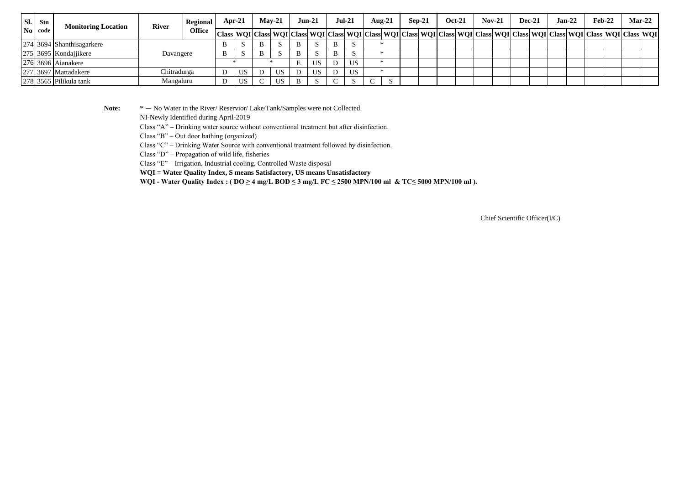| Sl. | Stn<br><b>Monitoring Location</b> |                           | <b>River</b> | Regional      | Apr-21 |   | $Mav-21$ |              | <b>Jun-21</b> | $Jul-21$ |        | Aug- $21$ | Sep-21 | <b>Oct-21</b>                                                                                                                                                          | $Nov-21$ |  | <b>Dec-21</b> | $Jan-22$ | Feb-22 | $Mar-22$ |  |
|-----|-----------------------------------|---------------------------|--------------|---------------|--------|---|----------|--------------|---------------|----------|--------|-----------|--------|------------------------------------------------------------------------------------------------------------------------------------------------------------------------|----------|--|---------------|----------|--------|----------|--|
|     | No code                           |                           |              | <b>Office</b> |        |   |          |              |               |          |        |           |        | Class  WQI   Class  WQI   Class  WQI   Class  WQI   Class  WQI   Class  WQI   Class  WQI   Class  WQI   Class  WQI   Class  WQI   Class  WQI   Class  WQI   Class  WQI |          |  |               |          |        |          |  |
|     |                                   | 274 3694 Shanthisagarkere |              |               |        | B |          | B            | . N           | $\cdot$  |        |           |        |                                                                                                                                                                        |          |  |               |          |        |          |  |
|     |                                   | $275$ 3695 Kondajjikere   | Davangere    |               |        | В |          | B            | - 13          |          |        |           |        |                                                                                                                                                                        |          |  |               |          |        |          |  |
|     |                                   | $276$ 3696 Aianakere      |              |               |        |   |          | $\mathbf{r}$ | US            | US       |        |           |        |                                                                                                                                                                        |          |  |               |          |        |          |  |
|     |                                   | 277 3697 Mattadakere      | Chitradurga  |               | US     |   | US       |              | US            | US       |        |           |        |                                                                                                                                                                        |          |  |               |          |        |          |  |
|     |                                   | 278 3565 Pilikula tank    | Mangaluru    |               | US     |   | US       | B            | . N           |          | $\sim$ |           |        |                                                                                                                                                                        |          |  |               |          |        |          |  |

Note:  $* - No Water in the River/Reserior/Lake/Tank/Samples were not Collected.$ 

NI-Newly Identified during April-2019

Class "A" – Drinking water source without conventional treatment but after disinfection.

Class "B" – Out door bathing (organized)

Class "C" – Drinking Water Source with conventional treatment followed by disinfection.

Class "D" – Propagation of wild life, fisheries

Class "E" – Irrigation, Industrial cooling, Controlled Waste disposal

**WQI = Water Quality Index, S means Satisfactory, US means Unsatisfactory**

WQI - Water Quality Index : ( $DO \ge 4$  mg/L BOD  $\le 3$  mg/L FC  $\le 2500$  MPN/100 ml & TC $\le 5000$  MPN/100 ml).

Chief Scientific Officer(I/C)